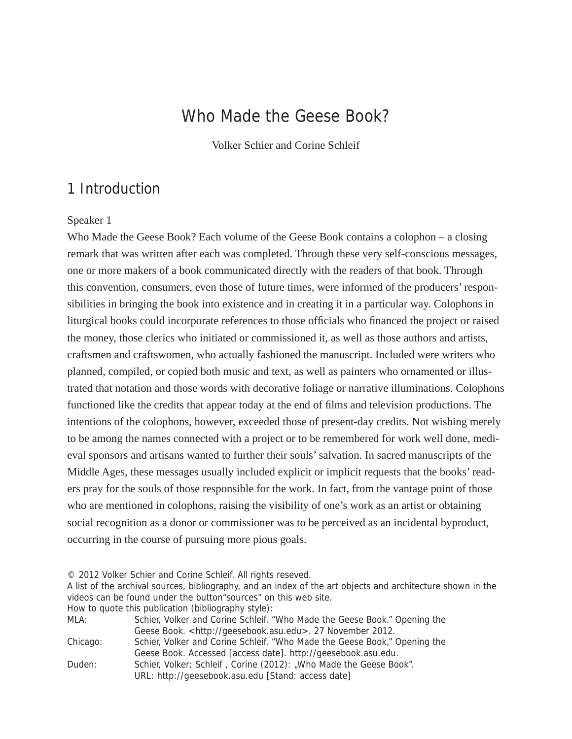# Who Made the Geese Book?

Volker Schier and Corine Schleif

# 1 Introduction

### Speaker 1

Who Made the Geese Book? Each volume of the Geese Book contains a colophon – a closing remark that was written after each was completed. Through these very self-conscious messages, one or more makers of a book communicated directly with the readers of that book. Through this convention, consumers, even those of future times, were informed of the producers' responsibilities in bringing the book into existence and in creating it in a particular way. Colophons in liturgical books could incorporate references to those officials who financed the project or raised the money, those clerics who initiated or commissioned it, as well as those authors and artists, craftsmen and craftswomen, who actually fashioned the manuscript. Included were writers who planned, compiled, or copied both music and text, as well as painters who ornamented or illustrated that notation and those words with decorative foliage or narrative illuminations. Colophons functioned like the credits that appear today at the end of films and television productions. The intentions of the colophons, however, exceeded those of present-day credits. Not wishing merely to be among the names connected with a project or to be remembered for work well done, medieval sponsors and artisans wanted to further their souls' salvation. In sacred manuscripts of the Middle Ages, these messages usually included explicit or implicit requests that the books' readers pray for the souls of those responsible for the work. In fact, from the vantage point of those who are mentioned in colophons, raising the visibility of one's work as an artist or obtaining social recognition as a donor or commissioner was to be perceived as an incidental byproduct, occurring in the course of pursuing more pious goals.

© 2012 Volker Schier and Corine Schleif. All rights reseved.

A list of the archival sources, bibliography, and an index of the art objects and architecture shown in the videos can be found under the button"sources" on this web site. How to quote this publication (bibliography style):

| MLA:     | Schier, Volker and Corine Schleif. "Who Made the Geese Book." Opening the |
|----------|---------------------------------------------------------------------------|
|          | Geese Book. <http: geesebook.asu.edu="">. 27 November 2012.</http:>       |
| Chicago: | Schier, Volker and Corine Schleif. "Who Made the Geese Book," Opening the |
|          | Geese Book. Accessed [access date]. http://geesebook.asu.edu.             |
| Duden:   | Schier, Volker; Schleif, Corine (2012): "Who Made the Geese Book".        |
|          | URL: http://geesebook.asu.edu [Stand: access date]                        |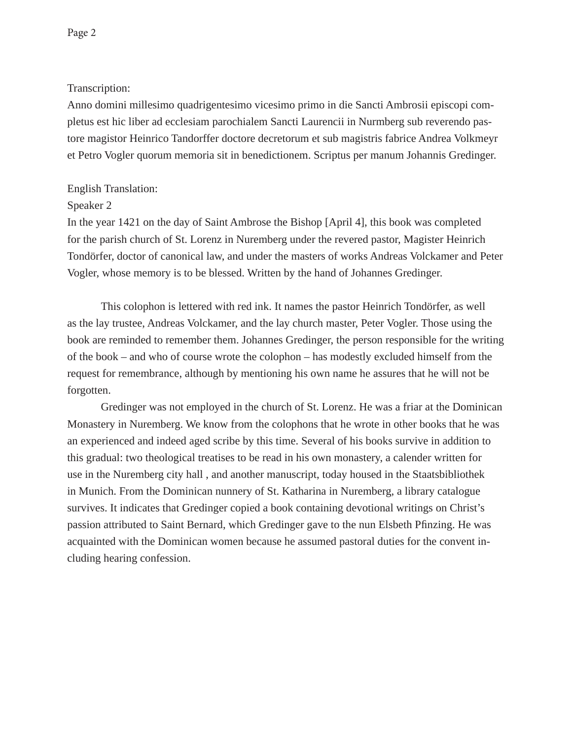### Transcription:

Anno domini millesimo quadrigentesimo vicesimo primo in die Sancti Ambrosii episcopi completus est hic liber ad ecclesiam parochialem Sancti Laurencii in Nurmberg sub reverendo pastore magistor Heinrico Tandorffer doctore decretorum et sub magistris fabrice Andrea Volkmeyr et Petro Vogler quorum memoria sit in benedictionem. Scriptus per manum Johannis Gredinger.

## English Translation:

## Speaker 2

In the year 1421 on the day of Saint Ambrose the Bishop [April 4], this book was completed for the parish church of St. Lorenz in Nuremberg under the revered pastor, Magister Heinrich Tondörfer, doctor of canonical law, and under the masters of works Andreas Volckamer and Peter Vogler, whose memory is to be blessed. Written by the hand of Johannes Gredinger.

 This colophon is lettered with red ink. It names the pastor Heinrich Tondörfer, as well as the lay trustee, Andreas Volckamer, and the lay church master, Peter Vogler. Those using the book are reminded to remember them. Johannes Gredinger, the person responsible for the writing of the book – and who of course wrote the colophon – has modestly excluded himself from the request for remembrance, although by mentioning his own name he assures that he will not be forgotten.

Gredinger was not employed in the church of St. Lorenz. He was a friar at the Dominican Monastery in Nuremberg. We know from the colophons that he wrote in other books that he was an experienced and indeed aged scribe by this time. Several of his books survive in addition to this gradual: two theological treatises to be read in his own monastery, a calender written for use in the Nuremberg city hall , and another manuscript, today housed in the Staatsbibliothek in Munich. From the Dominican nunnery of St. Katharina in Nuremberg, a library catalogue survives. It indicates that Gredinger copied a book containing devotional writings on Christ's passion attributed to Saint Bernard, which Gredinger gave to the nun Elsbeth Pfinzing. He was acquainted with the Dominican women because he assumed pastoral duties for the convent including hearing confession.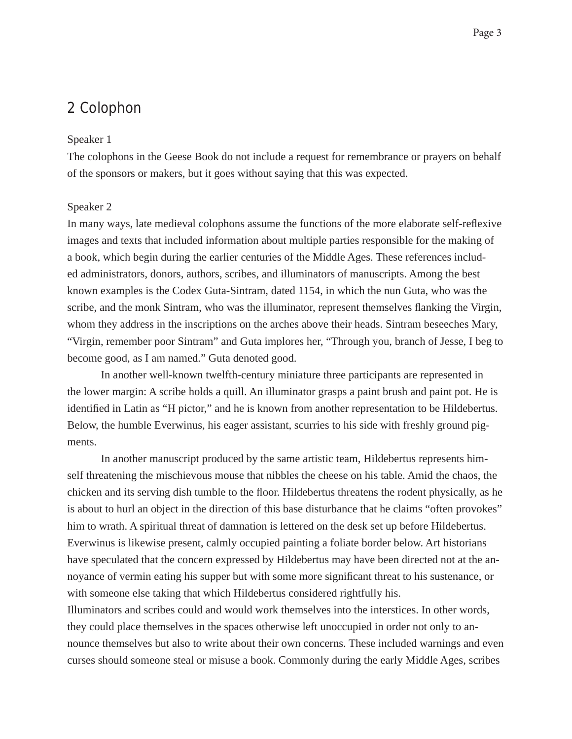# 2 Colophon

#### Speaker 1

The colophons in the Geese Book do not include a request for remembrance or prayers on behalf of the sponsors or makers, but it goes without saying that this was expected.

#### Speaker 2

In many ways, late medieval colophons assume the functions of the more elaborate self-reflexive images and texts that included information about multiple parties responsible for the making of a book, which begin during the earlier centuries of the Middle Ages. These references included administrators, donors, authors, scribes, and illuminators of manuscripts. Among the best known examples is the Codex Guta-Sintram, dated 1154, in which the nun Guta, who was the scribe, and the monk Sintram, who was the illuminator, represent themselves flanking the Virgin, whom they address in the inscriptions on the arches above their heads. Sintram beseeches Mary, "Virgin, remember poor Sintram" and Guta implores her, "Through you, branch of Jesse, I beg to become good, as I am named." Guta denoted good.

In another well-known twelfth-century miniature three participants are represented in the lower margin: A scribe holds a quill. An illuminator grasps a paint brush and paint pot. He is identified in Latin as "H pictor," and he is known from another representation to be Hildebertus. Below, the humble Everwinus, his eager assistant, scurries to his side with freshly ground pigments.

In another manuscript produced by the same artistic team, Hildebertus represents himself threatening the mischievous mouse that nibbles the cheese on his table. Amid the chaos, the chicken and its serving dish tumble to the floor. Hildebertus threatens the rodent physically, as he is about to hurl an object in the direction of this base disturbance that he claims "often provokes" him to wrath. A spiritual threat of damnation is lettered on the desk set up before Hildebertus. Everwinus is likewise present, calmly occupied painting a foliate border below. Art historians have speculated that the concern expressed by Hildebertus may have been directed not at the annoyance of vermin eating his supper but with some more significant threat to his sustenance, or with someone else taking that which Hildebertus considered rightfully his.

Illuminators and scribes could and would work themselves into the interstices. In other words, they could place themselves in the spaces otherwise left unoccupied in order not only to announce themselves but also to write about their own concerns. These included warnings and even curses should someone steal or misuse a book. Commonly during the early Middle Ages, scribes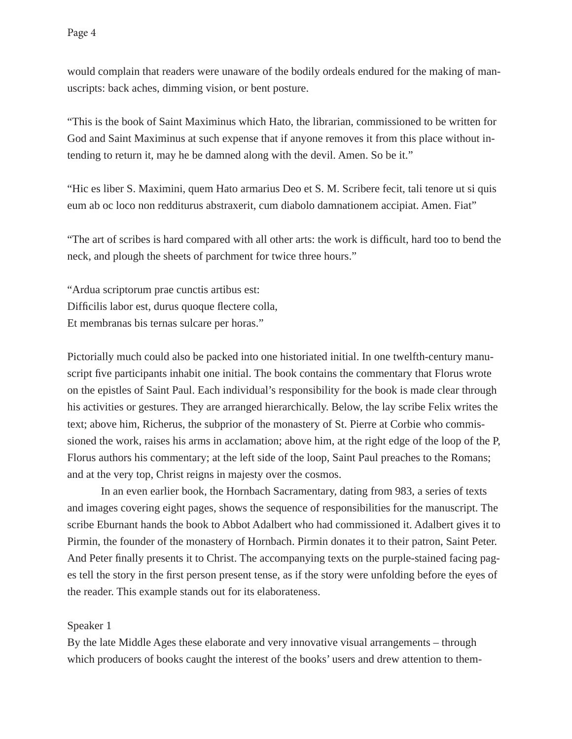would complain that readers were unaware of the bodily ordeals endured for the making of manuscripts: back aches, dimming vision, or bent posture.

"This is the book of Saint Maximinus which Hato, the librarian, commissioned to be written for God and Saint Maximinus at such expense that if anyone removes it from this place without intending to return it, may he be damned along with the devil. Amen. So be it."

"Hic es liber S. Maximini, quem Hato armarius Deo et S. M. Scribere fecit, tali tenore ut si quis eum ab oc loco non redditurus abstraxerit, cum diabolo damnationem accipiat. Amen. Fiat"

"The art of scribes is hard compared with all other arts: the work is difficult, hard too to bend the neck, and plough the sheets of parchment for twice three hours."

"Ardua scriptorum prae cunctis artibus est: Difficilis labor est, durus quoque flectere colla, Et membranas bis ternas sulcare per horas."

Pictorially much could also be packed into one historiated initial. In one twelfth-century manuscript five participants inhabit one initial. The book contains the commentary that Florus wrote on the epistles of Saint Paul. Each individual's responsibility for the book is made clear through his activities or gestures. They are arranged hierarchically. Below, the lay scribe Felix writes the text; above him, Richerus, the subprior of the monastery of St. Pierre at Corbie who commissioned the work, raises his arms in acclamation; above him, at the right edge of the loop of the P, Florus authors his commentary; at the left side of the loop, Saint Paul preaches to the Romans; and at the very top, Christ reigns in majesty over the cosmos.

In an even earlier book, the Hornbach Sacramentary, dating from 983, a series of texts and images covering eight pages, shows the sequence of responsibilities for the manuscript. The scribe Eburnant hands the book to Abbot Adalbert who had commissioned it. Adalbert gives it to Pirmin, the founder of the monastery of Hornbach. Pirmin donates it to their patron, Saint Peter. And Peter finally presents it to Christ. The accompanying texts on the purple-stained facing pages tell the story in the first person present tense, as if the story were unfolding before the eyes of the reader. This example stands out for its elaborateness.

## Speaker 1

By the late Middle Ages these elaborate and very innovative visual arrangements – through which producers of books caught the interest of the books' users and drew attention to them-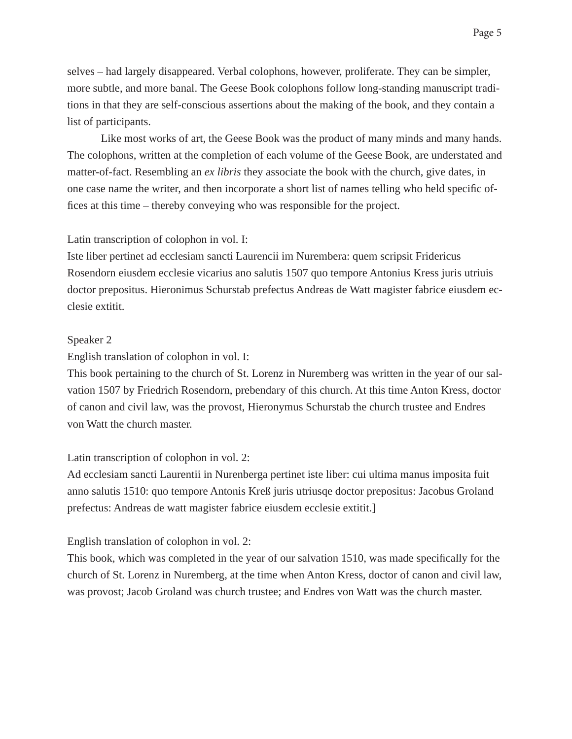Page 5

selves – had largely disappeared. Verbal colophons, however, proliferate. They can be simpler, more subtle, and more banal. The Geese Book colophons follow long-standing manuscript traditions in that they are self-conscious assertions about the making of the book, and they contain a list of participants.

Like most works of art, the Geese Book was the product of many minds and many hands. The colophons, written at the completion of each volume of the Geese Book, are understated and matter-of-fact. Resembling an *ex libris* they associate the book with the church, give dates, in one case name the writer, and then incorporate a short list of names telling who held specific offices at this time – thereby conveying who was responsible for the project.

## Latin transcription of colophon in vol. I:

Iste liber pertinet ad ecclesiam sancti Laurencii im Nurembera: quem scripsit Fridericus Rosendorn eiusdem ecclesie vicarius ano salutis 1507 quo tempore Antonius Kress juris utriuis doctor prepositus. Hieronimus Schurstab prefectus Andreas de Watt magister fabrice eiusdem ecclesie extitit.

## Speaker 2

English translation of colophon in vol. I:

This book pertaining to the church of St. Lorenz in Nuremberg was written in the year of our salvation 1507 by Friedrich Rosendorn, prebendary of this church. At this time Anton Kress, doctor of canon and civil law, was the provost, Hieronymus Schurstab the church trustee and Endres von Watt the church master.

## Latin transcription of colophon in vol. 2:

Ad ecclesiam sancti Laurentii in Nurenberga pertinet iste liber: cui ultima manus imposita fuit anno salutis 1510: quo tempore Antonis Kreß juris utriusqe doctor prepositus: Jacobus Groland prefectus: Andreas de watt magister fabrice eiusdem ecclesie extitit.]

## English translation of colophon in vol. 2:

This book, which was completed in the year of our salvation 1510, was made specifically for the church of St. Lorenz in Nuremberg, at the time when Anton Kress, doctor of canon and civil law, was provost; Jacob Groland was church trustee; and Endres von Watt was the church master.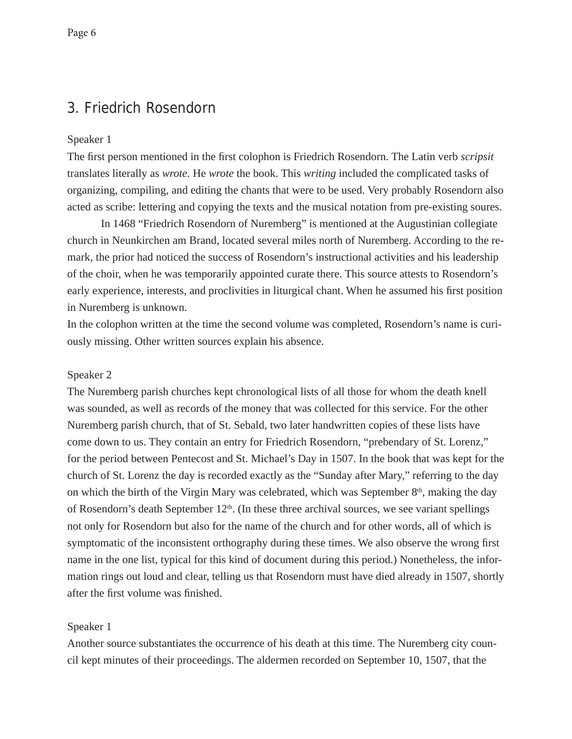# 3. Friedrich Rosendorn

#### Speaker 1

The first person mentioned in the first colophon is Friedrich Rosendorn. The Latin verb *scripsit* translates literally as *wrote.* He *wrote* the book. This *writing* included the complicated tasks of organizing, compiling, and editing the chants that were to be used. Very probably Rosendorn also acted as scribe: lettering and copying the texts and the musical notation from pre-existing soures.

In 1468 "Friedrich Rosendorn of Nuremberg" is mentioned at the Augustinian collegiate church in Neunkirchen am Brand, located several miles north of Nuremberg. According to the remark, the prior had noticed the success of Rosendorn's instructional activities and his leadership of the choir, when he was temporarily appointed curate there. This source attests to Rosendorn's early experience, interests, and proclivities in liturgical chant. When he assumed his first position in Nuremberg is unknown.

In the colophon written at the time the second volume was completed, Rosendorn's name is curiously missing. Other written sources explain his absence.

#### Speaker 2

The Nuremberg parish churches kept chronological lists of all those for whom the death knell was sounded, as well as records of the money that was collected for this service. For the other Nuremberg parish church, that of St. Sebald, two later handwritten copies of these lists have come down to us. They contain an entry for Friedrich Rosendorn, "prebendary of St. Lorenz," for the period between Pentecost and St. Michael's Day in 1507. In the book that was kept for the church of St. Lorenz the day is recorded exactly as the "Sunday after Mary," referring to the day on which the birth of the Virgin Mary was celebrated, which was September  $8<sup>th</sup>$ , making the day of Rosendorn's death September  $12<sup>th</sup>$ . (In these three archival sources, we see variant spellings not only for Rosendorn but also for the name of the church and for other words, all of which is symptomatic of the inconsistent orthography during these times. We also observe the wrong first name in the one list, typical for this kind of document during this period.) Nonetheless, the information rings out loud and clear, telling us that Rosendorn must have died already in 1507, shortly after the first volume was finished.

#### Speaker 1

Another source substantiates the occurrence of his death at this time. The Nuremberg city council kept minutes of their proceedings. The aldermen recorded on September 10, 1507, that the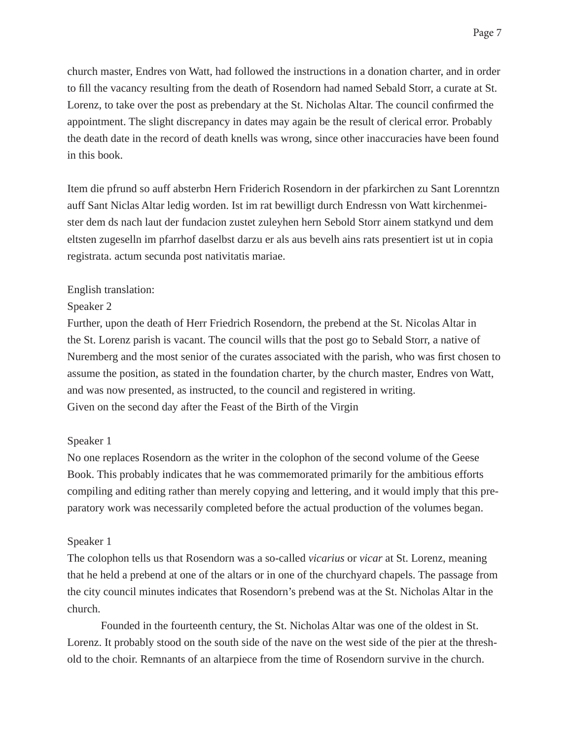church master, Endres von Watt, had followed the instructions in a donation charter, and in order to fill the vacancy resulting from the death of Rosendorn had named Sebald Storr, a curate at St. Lorenz, to take over the post as prebendary at the St. Nicholas Altar. The council confirmed the appointment. The slight discrepancy in dates may again be the result of clerical error. Probably the death date in the record of death knells was wrong, since other inaccuracies have been found in this book.

Item die pfrund so auff absterbn Hern Friderich Rosendorn in der pfarkirchen zu Sant Lorenntzn auff Sant Niclas Altar ledig worden. Ist im rat bewilligt durch Endressn von Watt kirchenmeister dem ds nach laut der fundacion zustet zuleyhen hern Sebold Storr ainem statkynd und dem eltsten zugeselln im pfarrhof daselbst darzu er als aus bevelh ains rats presentiert ist ut in copia registrata. actum secunda post nativitatis mariae.

## English translation:

## Speaker 2

Further, upon the death of Herr Friedrich Rosendorn, the prebend at the St. Nicolas Altar in the St. Lorenz parish is vacant. The council wills that the post go to Sebald Storr, a native of Nuremberg and the most senior of the curates associated with the parish, who was first chosen to assume the position, as stated in the foundation charter, by the church master, Endres von Watt, and was now presented, as instructed, to the council and registered in writing. Given on the second day after the Feast of the Birth of the Virgin

## Speaker 1

No one replaces Rosendorn as the writer in the colophon of the second volume of the Geese Book. This probably indicates that he was commemorated primarily for the ambitious efforts compiling and editing rather than merely copying and lettering, and it would imply that this preparatory work was necessarily completed before the actual production of the volumes began.

## Speaker 1

The colophon tells us that Rosendorn was a so-called *vicarius* or *vicar* at St. Lorenz, meaning that he held a prebend at one of the altars or in one of the churchyard chapels. The passage from the city council minutes indicates that Rosendorn's prebend was at the St. Nicholas Altar in the church.

 Founded in the fourteenth century, the St. Nicholas Altar was one of the oldest in St. Lorenz. It probably stood on the south side of the nave on the west side of the pier at the threshold to the choir. Remnants of an altarpiece from the time of Rosendorn survive in the church.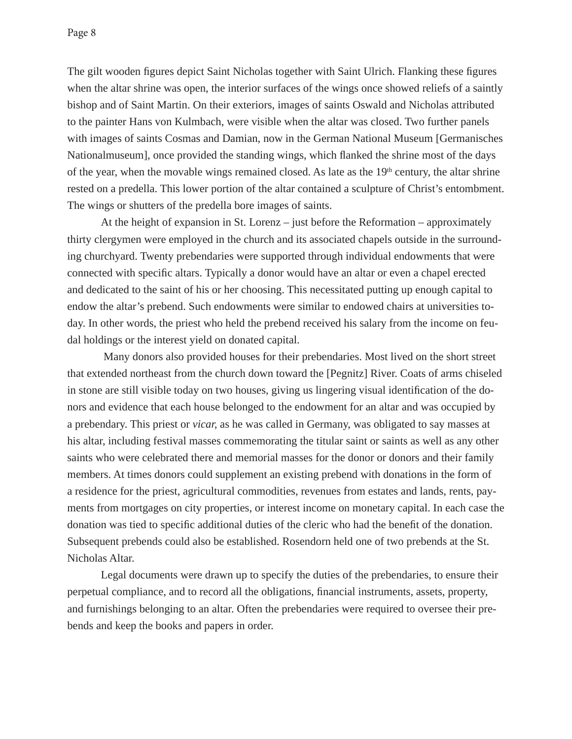The gilt wooden figures depict Saint Nicholas together with Saint Ulrich. Flanking these figures when the altar shrine was open, the interior surfaces of the wings once showed reliefs of a saintly bishop and of Saint Martin. On their exteriors, images of saints Oswald and Nicholas attributed to the painter Hans von Kulmbach, were visible when the altar was closed. Two further panels with images of saints Cosmas and Damian, now in the German National Museum [Germanisches Nationalmuseum], once provided the standing wings, which flanked the shrine most of the days of the year, when the movable wings remained closed. As late as the 19<sup>th</sup> century, the altar shrine rested on a predella. This lower portion of the altar contained a sculpture of Christ's entombment. The wings or shutters of the predella bore images of saints.

 At the height of expansion in St. Lorenz – just before the Reformation – approximately thirty clergymen were employed in the church and its associated chapels outside in the surrounding churchyard. Twenty prebendaries were supported through individual endowments that were connected with specific altars. Typically a donor would have an altar or even a chapel erected and dedicated to the saint of his or her choosing. This necessitated putting up enough capital to endow the altar's prebend. Such endowments were similar to endowed chairs at universities today. In other words, the priest who held the prebend received his salary from the income on feudal holdings or the interest yield on donated capital.

 Many donors also provided houses for their prebendaries. Most lived on the short street that extended northeast from the church down toward the [Pegnitz] River. Coats of arms chiseled in stone are still visible today on two houses, giving us lingering visual identification of the donors and evidence that each house belonged to the endowment for an altar and was occupied by a prebendary. This priest or *vicar,* as he was called in Germany, was obligated to say masses at his altar, including festival masses commemorating the titular saint or saints as well as any other saints who were celebrated there and memorial masses for the donor or donors and their family members. At times donors could supplement an existing prebend with donations in the form of a residence for the priest, agricultural commodities, revenues from estates and lands, rents, payments from mortgages on city properties, or interest income on monetary capital. In each case the donation was tied to specific additional duties of the cleric who had the benefit of the donation. Subsequent prebends could also be established. Rosendorn held one of two prebends at the St. Nicholas Altar.

 Legal documents were drawn up to specify the duties of the prebendaries, to ensure their perpetual compliance, and to record all the obligations, financial instruments, assets, property, and furnishings belonging to an altar. Often the prebendaries were required to oversee their prebends and keep the books and papers in order.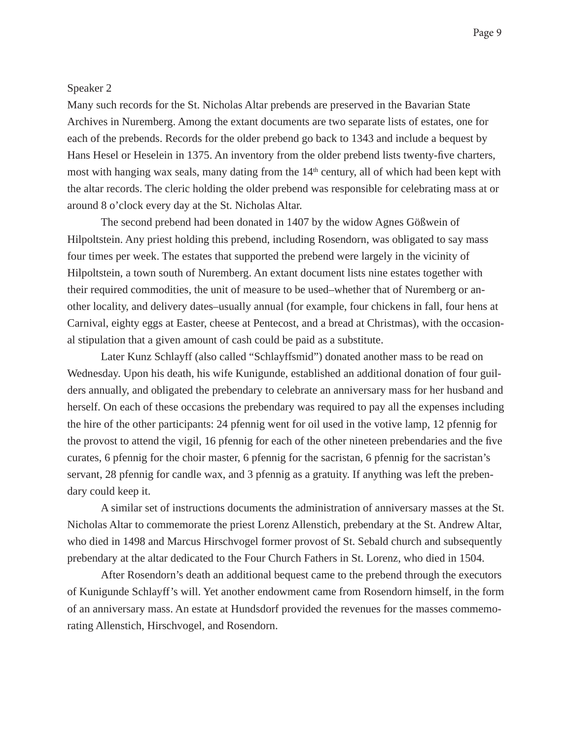#### Speaker 2

Many such records for the St. Nicholas Altar prebends are preserved in the Bavarian State Archives in Nuremberg. Among the extant documents are two separate lists of estates, one for each of the prebends. Records for the older prebend go back to 1343 and include a bequest by Hans Hesel or Heselein in 1375. An inventory from the older prebend lists twenty-five charters, most with hanging wax seals, many dating from the 14<sup>th</sup> century, all of which had been kept with the altar records. The cleric holding the older prebend was responsible for celebrating mass at or around 8 o'clock every day at the St. Nicholas Altar.

 The second prebend had been donated in 1407 by the widow Agnes Gößwein of Hilpoltstein. Any priest holding this prebend, including Rosendorn, was obligated to say mass four times per week. The estates that supported the prebend were largely in the vicinity of Hilpoltstein, a town south of Nuremberg. An extant document lists nine estates together with their required commodities, the unit of measure to be used–whether that of Nuremberg or another locality, and delivery dates–usually annual (for example, four chickens in fall, four hens at Carnival, eighty eggs at Easter, cheese at Pentecost, and a bread at Christmas), with the occasional stipulation that a given amount of cash could be paid as a substitute.

 Later Kunz Schlayff (also called "Schlayffsmid") donated another mass to be read on Wednesday. Upon his death, his wife Kunigunde, established an additional donation of four guilders annually, and obligated the prebendary to celebrate an anniversary mass for her husband and herself. On each of these occasions the prebendary was required to pay all the expenses including the hire of the other participants: 24 pfennig went for oil used in the votive lamp, 12 pfennig for the provost to attend the vigil, 16 pfennig for each of the other nineteen prebendaries and the five curates, 6 pfennig for the choir master, 6 pfennig for the sacristan, 6 pfennig for the sacristan's servant, 28 pfennig for candle wax, and 3 pfennig as a gratuity. If anything was left the prebendary could keep it.

 A similar set of instructions documents the administration of anniversary masses at the St. Nicholas Altar to commemorate the priest Lorenz Allenstich, prebendary at the St. Andrew Altar, who died in 1498 and Marcus Hirschvogel former provost of St. Sebald church and subsequently prebendary at the altar dedicated to the Four Church Fathers in St. Lorenz, who died in 1504.

 After Rosendorn's death an additional bequest came to the prebend through the executors of Kunigunde Schlayff's will. Yet another endowment came from Rosendorn himself, in the form of an anniversary mass. An estate at Hundsdorf provided the revenues for the masses commemorating Allenstich, Hirschvogel, and Rosendorn.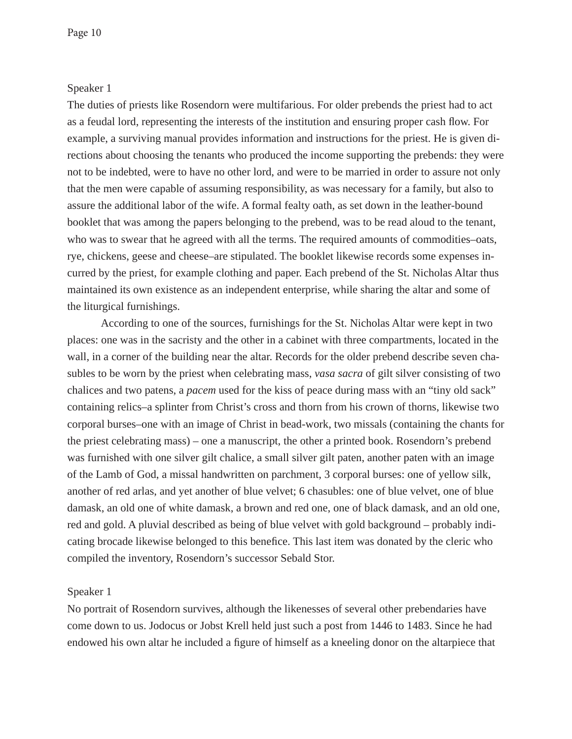## Speaker 1

The duties of priests like Rosendorn were multifarious. For older prebends the priest had to act as a feudal lord, representing the interests of the institution and ensuring proper cash flow. For example, a surviving manual provides information and instructions for the priest. He is given directions about choosing the tenants who produced the income supporting the prebends: they were not to be indebted, were to have no other lord, and were to be married in order to assure not only that the men were capable of assuming responsibility, as was necessary for a family, but also to assure the additional labor of the wife. A formal fealty oath, as set down in the leather-bound booklet that was among the papers belonging to the prebend, was to be read aloud to the tenant, who was to swear that he agreed with all the terms. The required amounts of commodities–oats, rye, chickens, geese and cheese–are stipulated. The booklet likewise records some expenses incurred by the priest, for example clothing and paper. Each prebend of the St. Nicholas Altar thus maintained its own existence as an independent enterprise, while sharing the altar and some of the liturgical furnishings.

 According to one of the sources, furnishings for the St. Nicholas Altar were kept in two places: one was in the sacristy and the other in a cabinet with three compartments, located in the wall, in a corner of the building near the altar. Records for the older prebend describe seven chasubles to be worn by the priest when celebrating mass, *vasa sacra* of gilt silver consisting of two chalices and two patens, a *pacem* used for the kiss of peace during mass with an "tiny old sack" containing relics–a splinter from Christ's cross and thorn from his crown of thorns, likewise two corporal burses–one with an image of Christ in bead-work, two missals (containing the chants for the priest celebrating mass) – one a manuscript, the other a printed book. Rosendorn's prebend was furnished with one silver gilt chalice, a small silver gilt paten, another paten with an image of the Lamb of God, a missal handwritten on parchment, 3 corporal burses: one of yellow silk, another of red arlas, and yet another of blue velvet; 6 chasubles: one of blue velvet, one of blue damask, an old one of white damask, a brown and red one, one of black damask, and an old one, red and gold. A pluvial described as being of blue velvet with gold background – probably indicating brocade likewise belonged to this benefice. This last item was donated by the cleric who compiled the inventory, Rosendorn's successor Sebald Stor.

#### Speaker 1

No portrait of Rosendorn survives, although the likenesses of several other prebendaries have come down to us. Jodocus or Jobst Krell held just such a post from 1446 to 1483. Since he had endowed his own altar he included a figure of himself as a kneeling donor on the altarpiece that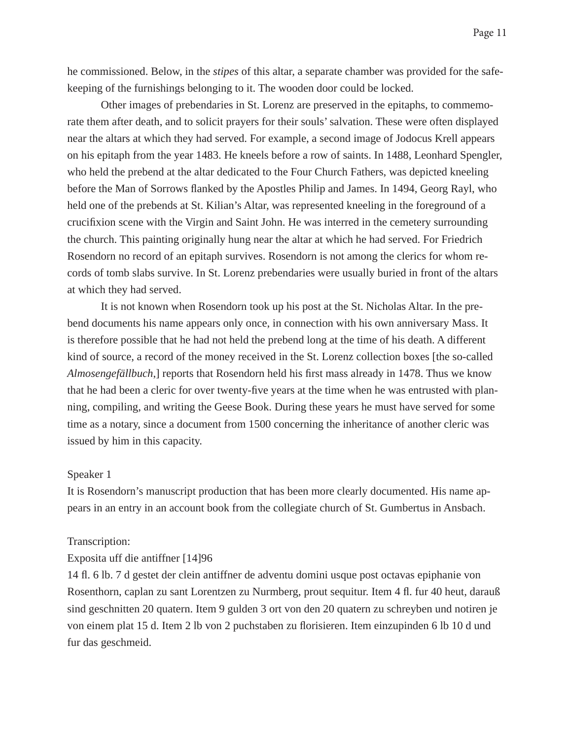he commissioned. Below, in the *stipes* of this altar, a separate chamber was provided for the safekeeping of the furnishings belonging to it. The wooden door could be locked.

 Other images of prebendaries in St. Lorenz are preserved in the epitaphs, to commemorate them after death, and to solicit prayers for their souls' salvation. These were often displayed near the altars at which they had served. For example, a second image of Jodocus Krell appears on his epitaph from the year 1483. He kneels before a row of saints. In 1488, Leonhard Spengler, who held the prebend at the altar dedicated to the Four Church Fathers, was depicted kneeling before the Man of Sorrows flanked by the Apostles Philip and James. In 1494, Georg Rayl, who held one of the prebends at St. Kilian's Altar, was represented kneeling in the foreground of a crucifixion scene with the Virgin and Saint John. He was interred in the cemetery surrounding the church. This painting originally hung near the altar at which he had served. For Friedrich Rosendorn no record of an epitaph survives. Rosendorn is not among the clerics for whom records of tomb slabs survive. In St. Lorenz prebendaries were usually buried in front of the altars at which they had served.

 It is not known when Rosendorn took up his post at the St. Nicholas Altar. In the prebend documents his name appears only once, in connection with his own anniversary Mass. It is therefore possible that he had not held the prebend long at the time of his death. A different kind of source, a record of the money received in the St. Lorenz collection boxes [the so-called *Almosengefällbuch*,] reports that Rosendorn held his first mass already in 1478. Thus we know that he had been a cleric for over twenty-five years at the time when he was entrusted with planning, compiling, and writing the Geese Book. During these years he must have served for some time as a notary, since a document from 1500 concerning the inheritance of another cleric was issued by him in this capacity.

#### Speaker 1

It is Rosendorn's manuscript production that has been more clearly documented. His name appears in an entry in an account book from the collegiate church of St. Gumbertus in Ansbach.

#### Transcription:

#### Exposita uff die antiffner [14]96

14 fl . 6 lb. 7 d gestet der clein antiffner de adventu domini usque post octavas epiphanie von Rosenthorn, caplan zu sant Lorentzen zu Nurmberg, prout sequitur. Item 4 fl. fur 40 heut, darauß sind geschnitten 20 quatern. Item 9 gulden 3 ort von den 20 quatern zu schreyben und notiren je von einem plat 15 d. Item 2 lb von 2 puchstaben zu florisieren. Item einzupinden 6 lb 10 d und fur das geschmeid.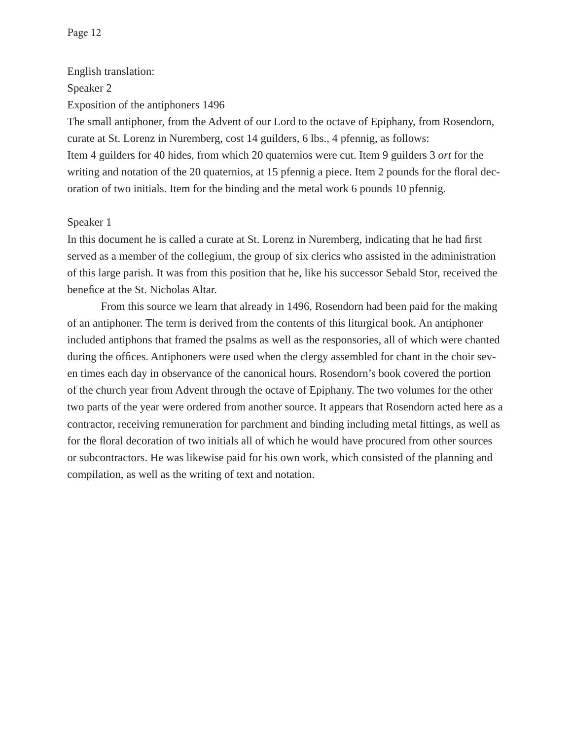English translation:

Speaker 2

Exposition of the antiphoners 1496

The small antiphoner, from the Advent of our Lord to the octave of Epiphany, from Rosendorn, curate at St. Lorenz in Nuremberg, cost 14 guilders, 6 lbs., 4 pfennig, as follows: Item 4 guilders for 40 hides, from which 20 quaternios were cut. Item 9 guilders 3 *ort* for the writing and notation of the 20 quaternios, at 15 pfennig a piece. Item 2 pounds for the floral decoration of two initials. Item for the binding and the metal work 6 pounds 10 pfennig.

## Speaker 1

In this document he is called a curate at St. Lorenz in Nuremberg, indicating that he had first served as a member of the collegium, the group of six clerics who assisted in the administration of this large parish. It was from this position that he, like his successor Sebald Stor, received the benefice at the St. Nicholas Altar.

 From this source we learn that already in 1496, Rosendorn had been paid for the making of an antiphoner. The term is derived from the contents of this liturgical book. An antiphoner included antiphons that framed the psalms as well as the responsories, all of which were chanted during the offices. Antiphoners were used when the clergy assembled for chant in the choir seven times each day in observance of the canonical hours. Rosendorn's book covered the portion of the church year from Advent through the octave of Epiphany. The two volumes for the other two parts of the year were ordered from another source. It appears that Rosendorn acted here as a contractor, receiving remuneration for parchment and binding including metal fittings, as well as for the floral decoration of two initials all of which he would have procured from other sources or subcontractors. He was likewise paid for his own work, which consisted of the planning and compilation, as well as the writing of text and notation.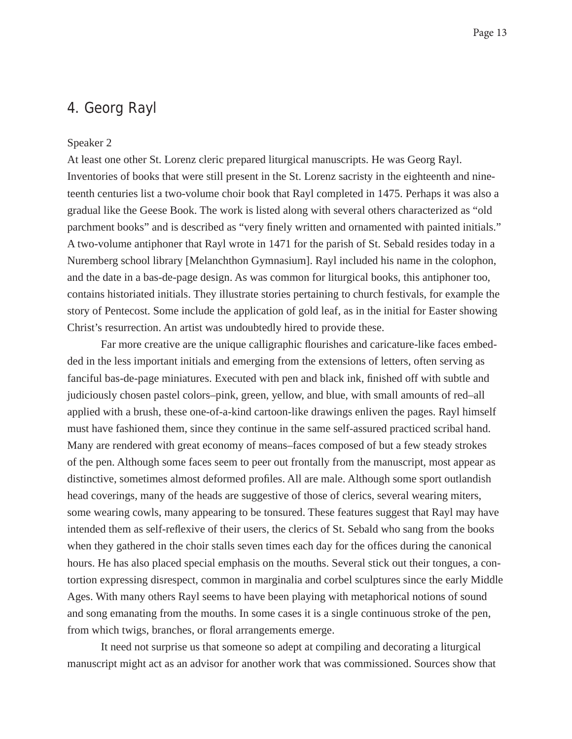## 4. Georg Rayl

#### Speaker 2

At least one other St. Lorenz cleric prepared liturgical manuscripts. He was Georg Rayl. Inventories of books that were still present in the St. Lorenz sacristy in the eighteenth and nineteenth centuries list a two-volume choir book that Rayl completed in 1475. Perhaps it was also a gradual like the Geese Book. The work is listed along with several others characterized as "old parchment books" and is described as "very finely written and ornamented with painted initials." A two-volume antiphoner that Rayl wrote in 1471 for the parish of St. Sebald resides today in a Nuremberg school library [Melanchthon Gymnasium]. Rayl included his name in the colophon, and the date in a bas-de-page design. As was common for liturgical books, this antiphoner too, contains historiated initials. They illustrate stories pertaining to church festivals, for example the story of Pentecost. Some include the application of gold leaf, as in the initial for Easter showing Christ's resurrection. An artist was undoubtedly hired to provide these.

Far more creative are the unique calligraphic flourishes and caricature-like faces embedded in the less important initials and emerging from the extensions of letters, often serving as fanciful bas-de-page miniatures. Executed with pen and black ink, finished off with subtle and judiciously chosen pastel colors–pink, green, yellow, and blue, with small amounts of red–all applied with a brush, these one-of-a-kind cartoon-like drawings enliven the pages. Rayl himself must have fashioned them, since they continue in the same self-assured practiced scribal hand. Many are rendered with great economy of means–faces composed of but a few steady strokes of the pen. Although some faces seem to peer out frontally from the manuscript, most appear as distinctive, sometimes almost deformed profiles. All are male. Although some sport outlandish head coverings, many of the heads are suggestive of those of clerics, several wearing miters, some wearing cowls, many appearing to be tonsured. These features suggest that Rayl may have intended them as self-reflexive of their users, the clerics of St. Sebald who sang from the books when they gathered in the choir stalls seven times each day for the offices during the canonical hours. He has also placed special emphasis on the mouths. Several stick out their tongues, a contortion expressing disrespect, common in marginalia and corbel sculptures since the early Middle Ages. With many others Rayl seems to have been playing with metaphorical notions of sound and song emanating from the mouths. In some cases it is a single continuous stroke of the pen, from which twigs, branches, or floral arrangements emerge.

 It need not surprise us that someone so adept at compiling and decorating a liturgical manuscript might act as an advisor for another work that was commissioned. Sources show that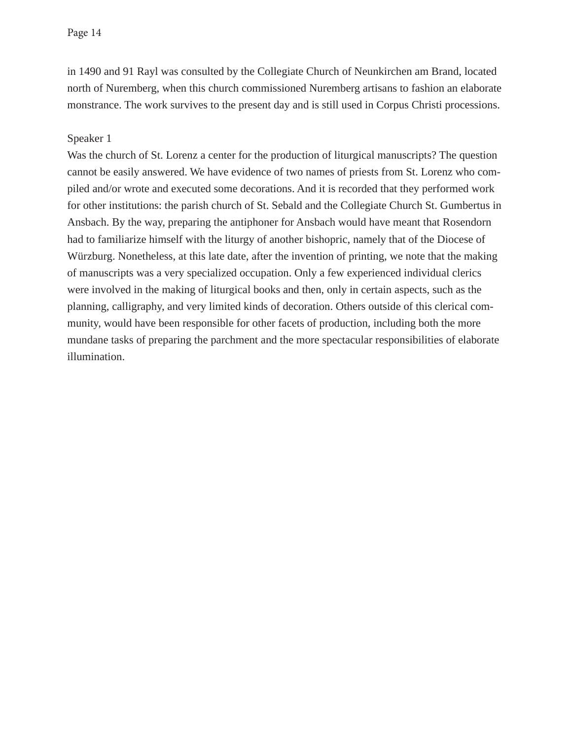in 1490 and 91 Rayl was consulted by the Collegiate Church of Neunkirchen am Brand, located north of Nuremberg, when this church commissioned Nuremberg artisans to fashion an elaborate monstrance. The work survives to the present day and is still used in Corpus Christi processions.

## Speaker 1

Was the church of St. Lorenz a center for the production of liturgical manuscripts? The question cannot be easily answered. We have evidence of two names of priests from St. Lorenz who compiled and/or wrote and executed some decorations. And it is recorded that they performed work for other institutions: the parish church of St. Sebald and the Collegiate Church St. Gumbertus in Ansbach. By the way, preparing the antiphoner for Ansbach would have meant that Rosendorn had to familiarize himself with the liturgy of another bishopric, namely that of the Diocese of Würzburg. Nonetheless, at this late date, after the invention of printing, we note that the making of manuscripts was a very specialized occupation. Only a few experienced individual clerics were involved in the making of liturgical books and then, only in certain aspects, such as the planning, calligraphy, and very limited kinds of decoration. Others outside of this clerical community, would have been responsible for other facets of production, including both the more mundane tasks of preparing the parchment and the more spectacular responsibilities of elaborate illumination.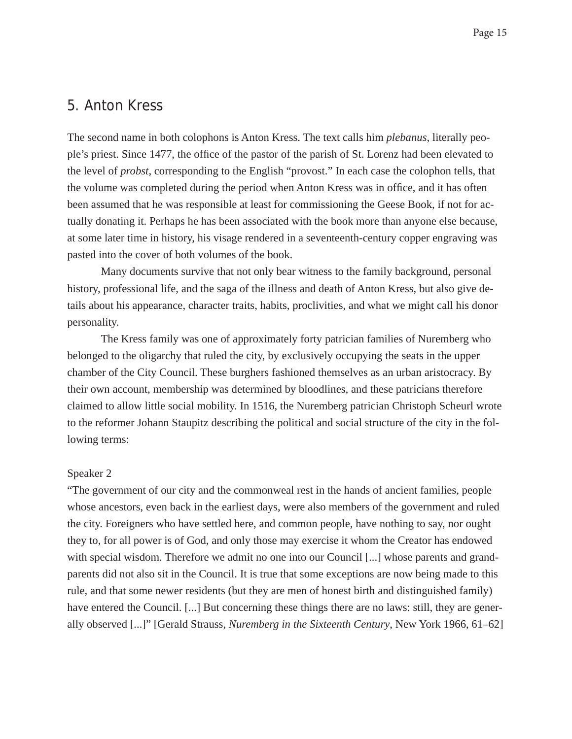## 5. Anton Kress

The second name in both colophons is Anton Kress. The text calls him *plebanus*, literally people's priest. Since 1477, the office of the pastor of the parish of St. Lorenz had been elevated to the level of *probst*, corresponding to the English "provost." In each case the colophon tells, that the volume was completed during the period when Anton Kress was in office, and it has often been assumed that he was responsible at least for commissioning the Geese Book, if not for actually donating it. Perhaps he has been associated with the book more than anyone else because, at some later time in history, his visage rendered in a seventeenth-century copper engraving was pasted into the cover of both volumes of the book.

 Many documents survive that not only bear witness to the family background, personal history, professional life, and the saga of the illness and death of Anton Kress, but also give details about his appearance, character traits, habits, proclivities, and what we might call his donor personality.

 The Kress family was one of approximately forty patrician families of Nuremberg who belonged to the oligarchy that ruled the city, by exclusively occupying the seats in the upper chamber of the City Council. These burghers fashioned themselves as an urban aristocracy. By their own account, membership was determined by bloodlines, and these patricians therefore claimed to allow little social mobility. In 1516, the Nuremberg patrician Christoph Scheurl wrote to the reformer Johann Staupitz describing the political and social structure of the city in the following terms:

#### Speaker 2

"The government of our city and the commonweal rest in the hands of ancient families, people whose ancestors, even back in the earliest days, were also members of the government and ruled the city. Foreigners who have settled here, and common people, have nothing to say, nor ought they to, for all power is of God, and only those may exercise it whom the Creator has endowed with special wisdom. Therefore we admit no one into our Council [...] whose parents and grandparents did not also sit in the Council. It is true that some exceptions are now being made to this rule, and that some newer residents (but they are men of honest birth and distinguished family) have entered the Council. [...] But concerning these things there are no laws: still, they are generally observed [...]" [Gerald Strauss, *Nuremberg in the Sixteenth Century*, New York 1966, 61–62]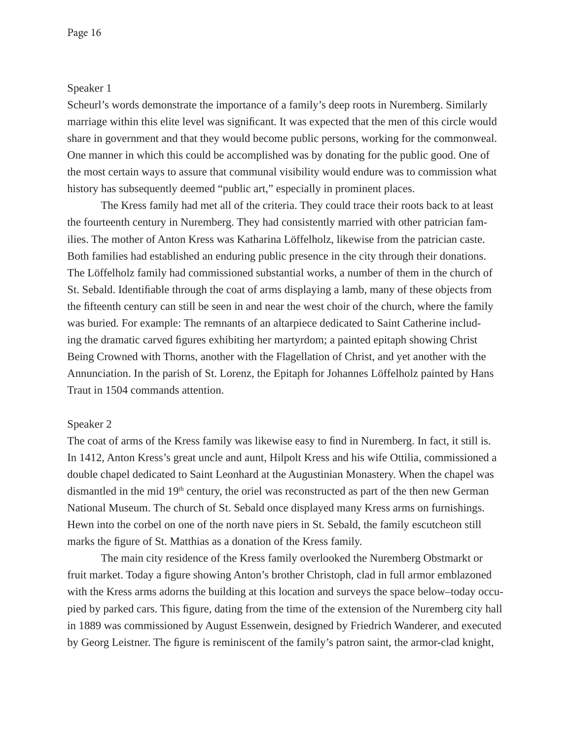### Speaker 1

Scheurl's words demonstrate the importance of a family's deep roots in Nuremberg. Similarly marriage within this elite level was significant. It was expected that the men of this circle would share in government and that they would become public persons, working for the commonweal. One manner in which this could be accomplished was by donating for the public good. One of the most certain ways to assure that communal visibility would endure was to commission what history has subsequently deemed "public art," especially in prominent places.

 The Kress family had met all of the criteria. They could trace their roots back to at least the fourteenth century in Nuremberg. They had consistently married with other patrician families. The mother of Anton Kress was Katharina Löffelholz, likewise from the patrician caste. Both families had established an enduring public presence in the city through their donations. The Löffelholz family had commissioned substantial works, a number of them in the church of St. Sebald. Identifiable through the coat of arms displaying a lamb, many of these objects from the fifteenth century can still be seen in and near the west choir of the church, where the family was buried. For example: The remnants of an altarpiece dedicated to Saint Catherine including the dramatic carved figures exhibiting her martyrdom; a painted epitaph showing Christ Being Crowned with Thorns, another with the Flagellation of Christ, and yet another with the Annunciation. In the parish of St. Lorenz, the Epitaph for Johannes Löffelholz painted by Hans Traut in 1504 commands attention.

#### Speaker 2

The coat of arms of the Kress family was likewise easy to find in Nuremberg. In fact, it still is. In 1412, Anton Kress's great uncle and aunt, Hilpolt Kress and his wife Ottilia, commissioned a double chapel dedicated to Saint Leonhard at the Augustinian Monastery. When the chapel was dismantled in the mid 19<sup>th</sup> century, the oriel was reconstructed as part of the then new German National Museum. The church of St. Sebald once displayed many Kress arms on furnishings. Hewn into the corbel on one of the north nave piers in St. Sebald, the family escutcheon still marks the figure of St. Matthias as a donation of the Kress family.

 The main city residence of the Kress family overlooked the Nuremberg Obstmarkt or fruit market. Today a figure showing Anton's brother Christoph, clad in full armor emblazoned with the Kress arms adorns the building at this location and surveys the space below–today occupied by parked cars. This figure, dating from the time of the extension of the Nuremberg city hall in 1889 was commissioned by August Essenwein, designed by Friedrich Wanderer, and executed by Georg Leistner. The figure is reminiscent of the family's patron saint, the armor-clad knight,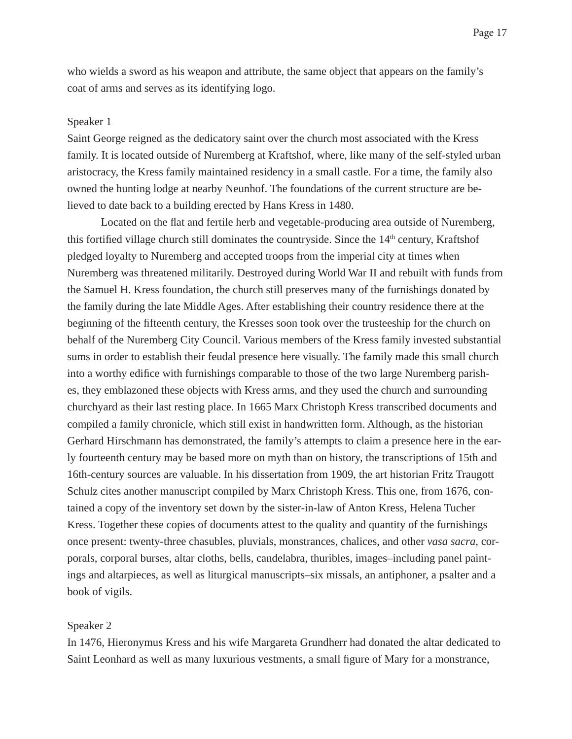who wields a sword as his weapon and attribute, the same object that appears on the family's coat of arms and serves as its identifying logo.

#### Speaker 1

Saint George reigned as the dedicatory saint over the church most associated with the Kress family. It is located outside of Nuremberg at Kraftshof, where, like many of the self-styled urban aristocracy, the Kress family maintained residency in a small castle. For a time, the family also owned the hunting lodge at nearby Neunhof. The foundations of the current structure are believed to date back to a building erected by Hans Kress in 1480.

Located on the flat and fertile herb and vegetable-producing area outside of Nuremberg, this fortified village church still dominates the countryside. Since the  $14<sup>th</sup>$  century, Kraftshof pledged loyalty to Nuremberg and accepted troops from the imperial city at times when Nuremberg was threatened militarily. Destroyed during World War II and rebuilt with funds from the Samuel H. Kress foundation, the church still preserves many of the furnishings donated by the family during the late Middle Ages. After establishing their country residence there at the beginning of the fifteenth century, the Kresses soon took over the trusteeship for the church on behalf of the Nuremberg City Council. Various members of the Kress family invested substantial sums in order to establish their feudal presence here visually. The family made this small church into a worthy edifice with furnishings comparable to those of the two large Nuremberg parishes, they emblazoned these objects with Kress arms, and they used the church and surrounding churchyard as their last resting place. In 1665 Marx Christoph Kress transcribed documents and compiled a family chronicle, which still exist in handwritten form. Although, as the historian Gerhard Hirschmann has demonstrated, the family's attempts to claim a presence here in the early fourteenth century may be based more on myth than on history, the transcriptions of 15th and 16th-century sources are valuable. In his dissertation from 1909, the art historian Fritz Traugott Schulz cites another manuscript compiled by Marx Christoph Kress. This one, from 1676, contained a copy of the inventory set down by the sister-in-law of Anton Kress, Helena Tucher Kress. Together these copies of documents attest to the quality and quantity of the furnishings once present: twenty-three chasubles, pluvials, monstrances, chalices, and other *vasa sacra*, corporals, corporal burses, altar cloths, bells, candelabra, thuribles, images–including panel paintings and altarpieces, as well as liturgical manuscripts–six missals, an antiphoner, a psalter and a book of vigils.

## Speaker 2

In 1476, Hieronymus Kress and his wife Margareta Grundherr had donated the altar dedicated to Saint Leonhard as well as many luxurious vestments, a small figure of Mary for a monstrance,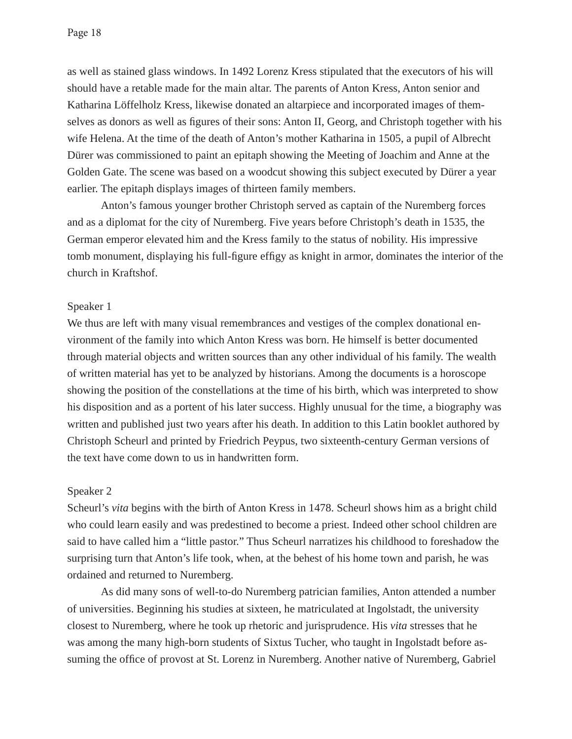as well as stained glass windows. In 1492 Lorenz Kress stipulated that the executors of his will should have a retable made for the main altar. The parents of Anton Kress, Anton senior and Katharina Löffelholz Kress, likewise donated an altarpiece and incorporated images of themselves as donors as well as figures of their sons: Anton II, Georg, and Christoph together with his wife Helena. At the time of the death of Anton's mother Katharina in 1505, a pupil of Albrecht Dürer was commissioned to paint an epitaph showing the Meeting of Joachim and Anne at the Golden Gate. The scene was based on a woodcut showing this subject executed by Dürer a year earlier. The epitaph displays images of thirteen family members.

 Anton's famous younger brother Christoph served as captain of the Nuremberg forces and as a diplomat for the city of Nuremberg. Five years before Christoph's death in 1535, the German emperor elevated him and the Kress family to the status of nobility. His impressive tomb monument, displaying his full-figure effigy as knight in armor, dominates the interior of the church in Kraftshof.

## Speaker 1

We thus are left with many visual remembrances and vestiges of the complex donational environment of the family into which Anton Kress was born. He himself is better documented through material objects and written sources than any other individual of his family. The wealth of written material has yet to be analyzed by historians. Among the documents is a horoscope showing the position of the constellations at the time of his birth, which was interpreted to show his disposition and as a portent of his later success. Highly unusual for the time, a biography was written and published just two years after his death. In addition to this Latin booklet authored by Christoph Scheurl and printed by Friedrich Peypus, two sixteenth-century German versions of the text have come down to us in handwritten form.

#### Speaker 2

Scheurl's *vita* begins with the birth of Anton Kress in 1478. Scheurl shows him as a bright child who could learn easily and was predestined to become a priest. Indeed other school children are said to have called him a "little pastor." Thus Scheurl narratizes his childhood to foreshadow the surprising turn that Anton's life took, when, at the behest of his home town and parish, he was ordained and returned to Nuremberg.

 As did many sons of well-to-do Nuremberg patrician families, Anton attended a number of universities. Beginning his studies at sixteen, he matriculated at Ingolstadt, the university closest to Nuremberg, where he took up rhetoric and jurisprudence. His *vita* stresses that he was among the many high-born students of Sixtus Tucher, who taught in Ingolstadt before assuming the office of provost at St. Lorenz in Nuremberg. Another native of Nuremberg, Gabriel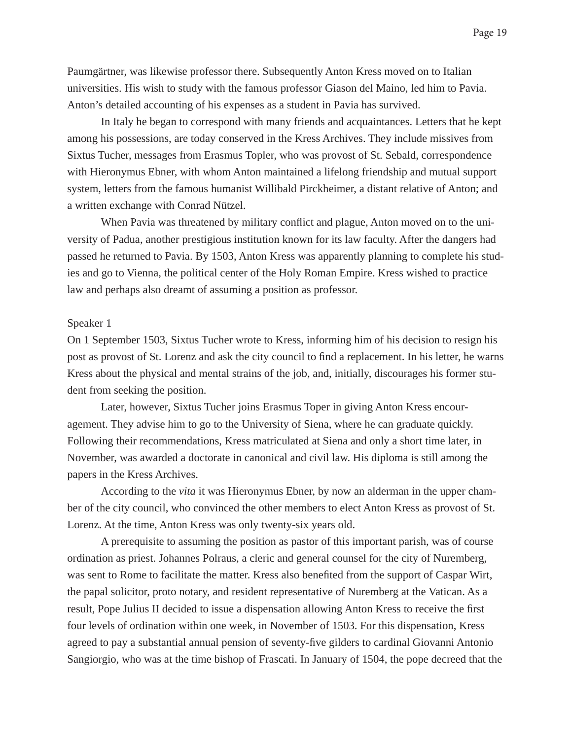Paumgärtner, was likewise professor there. Subsequently Anton Kress moved on to Italian universities. His wish to study with the famous professor Giason del Maino, led him to Pavia. Anton's detailed accounting of his expenses as a student in Pavia has survived.

 In Italy he began to correspond with many friends and acquaintances. Letters that he kept among his possessions, are today conserved in the Kress Archives. They include missives from Sixtus Tucher, messages from Erasmus Topler, who was provost of St. Sebald, correspondence with Hieronymus Ebner, with whom Anton maintained a lifelong friendship and mutual support system, letters from the famous humanist Willibald Pirckheimer, a distant relative of Anton; and a written exchange with Conrad Nützel.

When Pavia was threatened by military conflict and plague, Anton moved on to the university of Padua, another prestigious institution known for its law faculty. After the dangers had passed he returned to Pavia. By 1503, Anton Kress was apparently planning to complete his studies and go to Vienna, the political center of the Holy Roman Empire. Kress wished to practice law and perhaps also dreamt of assuming a position as professor.

#### Speaker 1

On 1 September 1503, Sixtus Tucher wrote to Kress, informing him of his decision to resign his post as provost of St. Lorenz and ask the city council to find a replacement. In his letter, he warns Kress about the physical and mental strains of the job, and, initially, discourages his former student from seeking the position.

 Later, however, Sixtus Tucher joins Erasmus Toper in giving Anton Kress encouragement. They advise him to go to the University of Siena, where he can graduate quickly. Following their recommendations, Kress matriculated at Siena and only a short time later, in November, was awarded a doctorate in canonical and civil law. His diploma is still among the papers in the Kress Archives.

 According to the *vita* it was Hieronymus Ebner, by now an alderman in the upper chamber of the city council, who convinced the other members to elect Anton Kress as provost of St. Lorenz. At the time, Anton Kress was only twenty-six years old.

 A prerequisite to assuming the position as pastor of this important parish, was of course ordination as priest. Johannes Polraus, a cleric and general counsel for the city of Nuremberg, was sent to Rome to facilitate the matter. Kress also benefited from the support of Caspar Wirt, the papal solicitor, proto notary, and resident representative of Nuremberg at the Vatican. As a result, Pope Julius II decided to issue a dispensation allowing Anton Kress to receive the first four levels of ordination within one week, in November of 1503. For this dispensation, Kress agreed to pay a substantial annual pension of seventy-five gilders to cardinal Giovanni Antonio Sangiorgio, who was at the time bishop of Frascati. In January of 1504, the pope decreed that the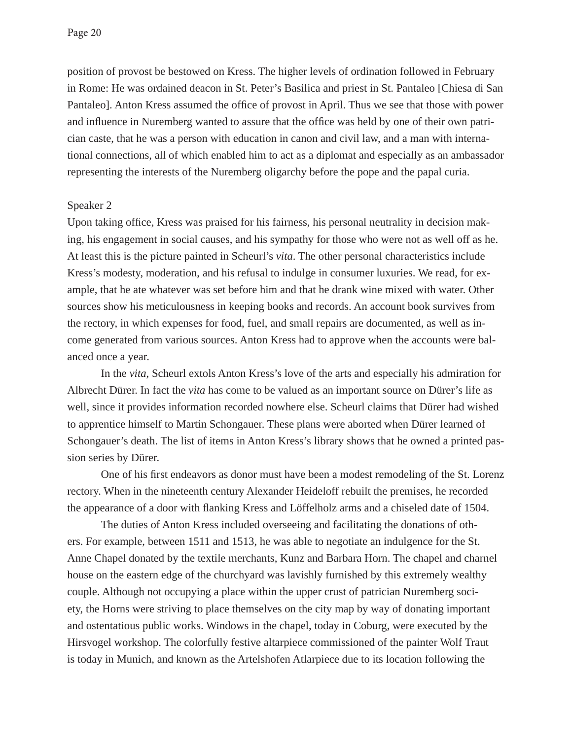position of provost be bestowed on Kress. The higher levels of ordination followed in February in Rome: He was ordained deacon in St. Peter's Basilica and priest in St. Pantaleo [Chiesa di San Pantaleo]. Anton Kress assumed the office of provost in April. Thus we see that those with power and influence in Nuremberg wanted to assure that the office was held by one of their own patrician caste, that he was a person with education in canon and civil law, and a man with international connections, all of which enabled him to act as a diplomat and especially as an ambassador representing the interests of the Nuremberg oligarchy before the pope and the papal curia.

#### Speaker 2

Upon taking office, Kress was praised for his fairness, his personal neutrality in decision making, his engagement in social causes, and his sympathy for those who were not as well off as he. At least this is the picture painted in Scheurl's *vita*. The other personal characteristics include Kress's modesty, moderation, and his refusal to indulge in consumer luxuries. We read, for example, that he ate whatever was set before him and that he drank wine mixed with water. Other sources show his meticulousness in keeping books and records. An account book survives from the rectory, in which expenses for food, fuel, and small repairs are documented, as well as income generated from various sources. Anton Kress had to approve when the accounts were balanced once a year.

 In the *vita*, Scheurl extols Anton Kress's love of the arts and especially his admiration for Albrecht Dürer. In fact the *vita* has come to be valued as an important source on Dürer's life as well, since it provides information recorded nowhere else. Scheurl claims that Dürer had wished to apprentice himself to Martin Schongauer. These plans were aborted when Dürer learned of Schongauer's death. The list of items in Anton Kress's library shows that he owned a printed passion series by Dürer.

One of his first endeavors as donor must have been a modest remodeling of the St. Lorenz rectory. When in the nineteenth century Alexander Heideloff rebuilt the premises, he recorded the appearance of a door with flanking Kress and Löffelholz arms and a chiseled date of 1504.

 The duties of Anton Kress included overseeing and facilitating the donations of others. For example, between 1511 and 1513, he was able to negotiate an indulgence for the St. Anne Chapel donated by the textile merchants, Kunz and Barbara Horn. The chapel and charnel house on the eastern edge of the churchyard was lavishly furnished by this extremely wealthy couple. Although not occupying a place within the upper crust of patrician Nuremberg society, the Horns were striving to place themselves on the city map by way of donating important and ostentatious public works. Windows in the chapel, today in Coburg, were executed by the Hirsvogel workshop. The colorfully festive altarpiece commissioned of the painter Wolf Traut is today in Munich, and known as the Artelshofen Atlarpiece due to its location following the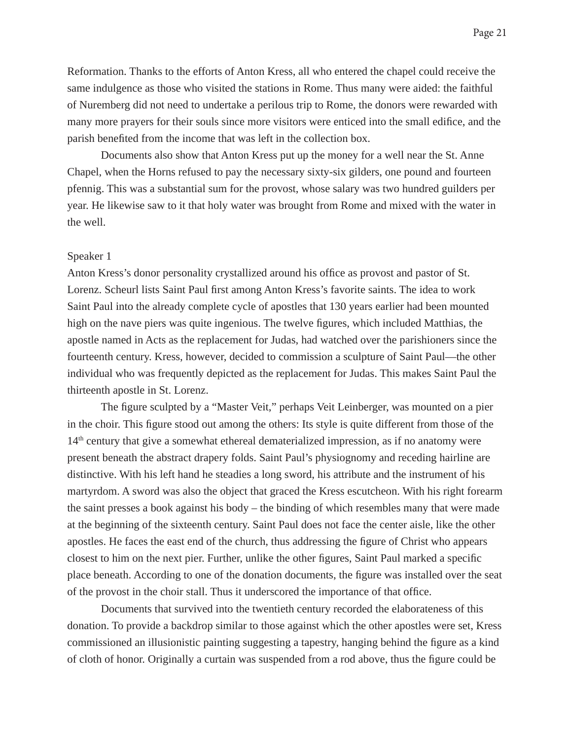Reformation. Thanks to the efforts of Anton Kress, all who entered the chapel could receive the same indulgence as those who visited the stations in Rome. Thus many were aided: the faithful of Nuremberg did not need to undertake a perilous trip to Rome, the donors were rewarded with many more prayers for their souls since more visitors were enticed into the small edifice, and the parish benefited from the income that was left in the collection box.

 Documents also show that Anton Kress put up the money for a well near the St. Anne Chapel, when the Horns refused to pay the necessary sixty-six gilders, one pound and fourteen pfennig. This was a substantial sum for the provost, whose salary was two hundred guilders per year. He likewise saw to it that holy water was brought from Rome and mixed with the water in the well.

#### Speaker 1

Anton Kress's donor personality crystallized around his office as provost and pastor of St. Lorenz. Scheurl lists Saint Paul first among Anton Kress's favorite saints. The idea to work Saint Paul into the already complete cycle of apostles that 130 years earlier had been mounted high on the nave piers was quite ingenious. The twelve figures, which included Matthias, the apostle named in Acts as the replacement for Judas, had watched over the parishioners since the fourteenth century. Kress, however, decided to commission a sculpture of Saint Paul—the other individual who was frequently depicted as the replacement for Judas. This makes Saint Paul the thirteenth apostle in St. Lorenz.

The figure sculpted by a "Master Veit," perhaps Veit Leinberger, was mounted on a pier in the choir. This figure stood out among the others: Its style is quite different from those of the  $14<sup>th</sup>$  century that give a somewhat ethereal dematerialized impression, as if no anatomy were present beneath the abstract drapery folds. Saint Paul's physiognomy and receding hairline are distinctive. With his left hand he steadies a long sword, his attribute and the instrument of his martyrdom. A sword was also the object that graced the Kress escutcheon. With his right forearm the saint presses a book against his body – the binding of which resembles many that were made at the beginning of the sixteenth century. Saint Paul does not face the center aisle, like the other apostles. He faces the east end of the church, thus addressing the figure of Christ who appears closest to him on the next pier. Further, unlike the other figures, Saint Paul marked a specific place beneath. According to one of the donation documents, the figure was installed over the seat of the provost in the choir stall. Thus it underscored the importance of that office.

 Documents that survived into the twentieth century recorded the elaborateness of this donation. To provide a backdrop similar to those against which the other apostles were set, Kress commissioned an illusionistic painting suggesting a tapestry, hanging behind the figure as a kind of cloth of honor. Originally a curtain was suspended from a rod above, thus the figure could be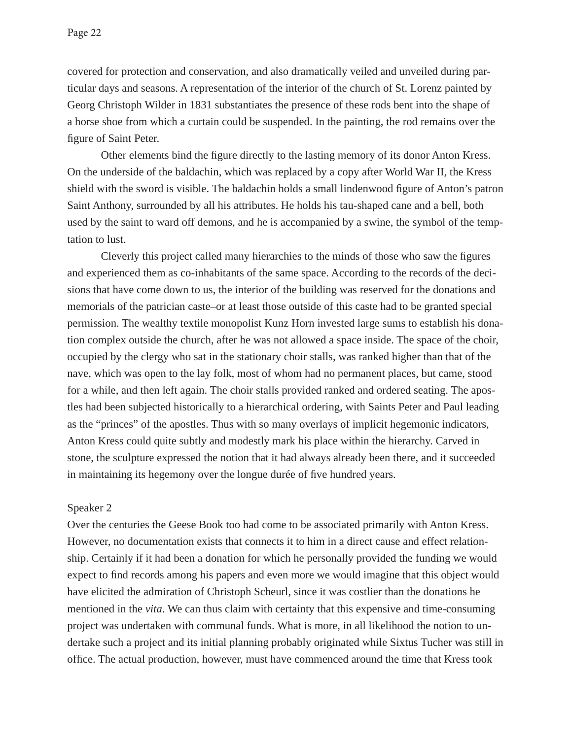covered for protection and conservation, and also dramatically veiled and unveiled during particular days and seasons. A representation of the interior of the church of St. Lorenz painted by Georg Christoph Wilder in 1831 substantiates the presence of these rods bent into the shape of a horse shoe from which a curtain could be suspended. In the painting, the rod remains over the figure of Saint Peter.

Other elements bind the figure directly to the lasting memory of its donor Anton Kress. On the underside of the baldachin, which was replaced by a copy after World War II, the Kress shield with the sword is visible. The baldachin holds a small lindenwood figure of Anton's patron Saint Anthony, surrounded by all his attributes. He holds his tau-shaped cane and a bell, both used by the saint to ward off demons, and he is accompanied by a swine, the symbol of the temptation to lust.

Cleverly this project called many hierarchies to the minds of those who saw the figures and experienced them as co-inhabitants of the same space. According to the records of the decisions that have come down to us, the interior of the building was reserved for the donations and memorials of the patrician caste–or at least those outside of this caste had to be granted special permission. The wealthy textile monopolist Kunz Horn invested large sums to establish his donation complex outside the church, after he was not allowed a space inside. The space of the choir, occupied by the clergy who sat in the stationary choir stalls, was ranked higher than that of the nave, which was open to the lay folk, most of whom had no permanent places, but came, stood for a while, and then left again. The choir stalls provided ranked and ordered seating. The apostles had been subjected historically to a hierarchical ordering, with Saints Peter and Paul leading as the "princes" of the apostles. Thus with so many overlays of implicit hegemonic indicators, Anton Kress could quite subtly and modestly mark his place within the hierarchy. Carved in stone, the sculpture expressed the notion that it had always already been there, and it succeeded in maintaining its hegemony over the longue durée of five hundred years.

#### Speaker 2

Over the centuries the Geese Book too had come to be associated primarily with Anton Kress. However, no documentation exists that connects it to him in a direct cause and effect relationship. Certainly if it had been a donation for which he personally provided the funding we would expect to find records among his papers and even more we would imagine that this object would have elicited the admiration of Christoph Scheurl, since it was costlier than the donations he mentioned in the *vita*. We can thus claim with certainty that this expensive and time-consuming project was undertaken with communal funds. What is more, in all likelihood the notion to undertake such a project and its initial planning probably originated while Sixtus Tucher was still in office. The actual production, however, must have commenced around the time that Kress took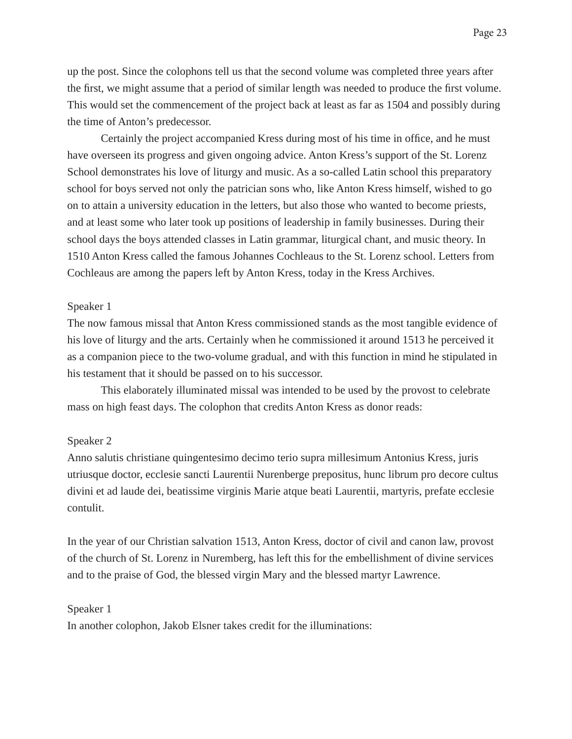up the post. Since the colophons tell us that the second volume was completed three years after the first, we might assume that a period of similar length was needed to produce the first volume. This would set the commencement of the project back at least as far as 1504 and possibly during the time of Anton's predecessor.

Certainly the project accompanied Kress during most of his time in office, and he must have overseen its progress and given ongoing advice. Anton Kress's support of the St. Lorenz School demonstrates his love of liturgy and music. As a so-called Latin school this preparatory school for boys served not only the patrician sons who, like Anton Kress himself, wished to go on to attain a university education in the letters, but also those who wanted to become priests, and at least some who later took up positions of leadership in family businesses. During their school days the boys attended classes in Latin grammar, liturgical chant, and music theory. In 1510 Anton Kress called the famous Johannes Cochleaus to the St. Lorenz school. Letters from Cochleaus are among the papers left by Anton Kress, today in the Kress Archives.

## Speaker 1

The now famous missal that Anton Kress commissioned stands as the most tangible evidence of his love of liturgy and the arts. Certainly when he commissioned it around 1513 he perceived it as a companion piece to the two-volume gradual, and with this function in mind he stipulated in his testament that it should be passed on to his successor.

 This elaborately illuminated missal was intended to be used by the provost to celebrate mass on high feast days. The colophon that credits Anton Kress as donor reads:

## Speaker 2

Anno salutis christiane quingentesimo decimo terio supra millesimum Antonius Kress, juris utriusque doctor, ecclesie sancti Laurentii Nurenberge prepositus, hunc librum pro decore cultus divini et ad laude dei, beatissime virginis Marie atque beati Laurentii, martyris, prefate ecclesie contulit.

In the year of our Christian salvation 1513, Anton Kress, doctor of civil and canon law, provost of the church of St. Lorenz in Nuremberg, has left this for the embellishment of divine services and to the praise of God, the blessed virgin Mary and the blessed martyr Lawrence.

#### Speaker 1

In another colophon, Jakob Elsner takes credit for the illuminations: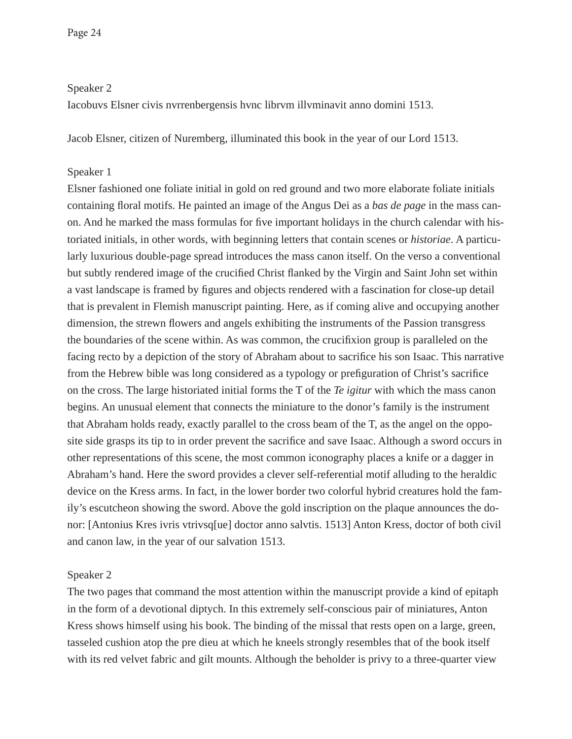Speaker 2

Iacobuvs Elsner civis nvrrenbergensis hvnc librvm illvminavit anno domini 1513.

Jacob Elsner, citizen of Nuremberg, illuminated this book in the year of our Lord 1513.

#### Speaker 1

Elsner fashioned one foliate initial in gold on red ground and two more elaborate foliate initials containing floral motifs. He painted an image of the Angus Dei as a *bas de page* in the mass canon. And he marked the mass formulas for five important holidays in the church calendar with historiated initials, in other words, with beginning letters that contain scenes or *historiae*. A particularly luxurious double-page spread introduces the mass canon itself. On the verso a conventional but subtly rendered image of the crucified Christ flanked by the Virgin and Saint John set within a vast landscape is framed by figures and objects rendered with a fascination for close-up detail that is prevalent in Flemish manuscript painting. Here, as if coming alive and occupying another dimension, the strewn flowers and angels exhibiting the instruments of the Passion transgress the boundaries of the scene within. As was common, the crucifixion group is paralleled on the facing recto by a depiction of the story of Abraham about to sacrifice his son Isaac. This narrative from the Hebrew bible was long considered as a typology or prefiguration of Christ's sacrifice on the cross. The large historiated initial forms the T of the *Te igitur* with which the mass canon begins. An unusual element that connects the miniature to the donor's family is the instrument that Abraham holds ready, exactly parallel to the cross beam of the T, as the angel on the opposite side grasps its tip to in order prevent the sacrifice and save Isaac. Although a sword occurs in other representations of this scene, the most common iconography places a knife or a dagger in Abraham's hand. Here the sword provides a clever self-referential motif alluding to the heraldic device on the Kress arms. In fact, in the lower border two colorful hybrid creatures hold the family's escutcheon showing the sword. Above the gold inscription on the plaque announces the donor: [Antonius Kres ivris vtrivsq[ue] doctor anno salvtis. 1513] Anton Kress, doctor of both civil and canon law, in the year of our salvation 1513.

## Speaker 2

The two pages that command the most attention within the manuscript provide a kind of epitaph in the form of a devotional diptych. In this extremely self-conscious pair of miniatures, Anton Kress shows himself using his book. The binding of the missal that rests open on a large, green, tasseled cushion atop the pre dieu at which he kneels strongly resembles that of the book itself with its red velvet fabric and gilt mounts. Although the beholder is privy to a three-quarter view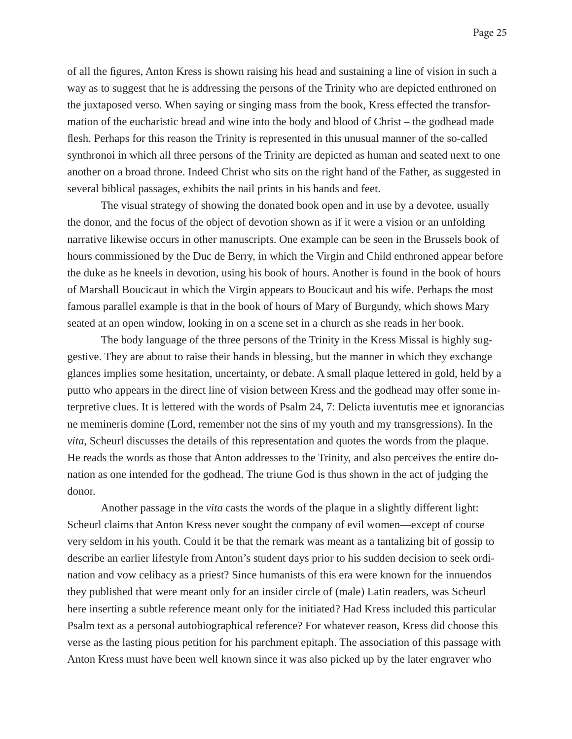of all the figures, Anton Kress is shown raising his head and sustaining a line of vision in such a way as to suggest that he is addressing the persons of the Trinity who are depicted enthroned on the juxtaposed verso. When saying or singing mass from the book, Kress effected the transformation of the eucharistic bread and wine into the body and blood of Christ – the godhead made flesh. Perhaps for this reason the Trinity is represented in this unusual manner of the so-called synthronoi in which all three persons of the Trinity are depicted as human and seated next to one another on a broad throne. Indeed Christ who sits on the right hand of the Father, as suggested in several biblical passages, exhibits the nail prints in his hands and feet.

 The visual strategy of showing the donated book open and in use by a devotee, usually the donor, and the focus of the object of devotion shown as if it were a vision or an unfolding narrative likewise occurs in other manuscripts. One example can be seen in the Brussels book of hours commissioned by the Duc de Berry, in which the Virgin and Child enthroned appear before the duke as he kneels in devotion, using his book of hours. Another is found in the book of hours of Marshall Boucicaut in which the Virgin appears to Boucicaut and his wife. Perhaps the most famous parallel example is that in the book of hours of Mary of Burgundy, which shows Mary seated at an open window, looking in on a scene set in a church as she reads in her book.

 The body language of the three persons of the Trinity in the Kress Missal is highly suggestive. They are about to raise their hands in blessing, but the manner in which they exchange glances implies some hesitation, uncertainty, or debate. A small plaque lettered in gold, held by a putto who appears in the direct line of vision between Kress and the godhead may offer some interpretive clues. It is lettered with the words of Psalm 24, 7: Delicta iuventutis mee et ignorancias ne memineris domine (Lord, remember not the sins of my youth and my transgressions). In the *vita*, Scheurl discusses the details of this representation and quotes the words from the plaque. He reads the words as those that Anton addresses to the Trinity, and also perceives the entire donation as one intended for the godhead. The triune God is thus shown in the act of judging the donor.

 Another passage in the *vita* casts the words of the plaque in a slightly different light: Scheurl claims that Anton Kress never sought the company of evil women—except of course very seldom in his youth. Could it be that the remark was meant as a tantalizing bit of gossip to describe an earlier lifestyle from Anton's student days prior to his sudden decision to seek ordination and vow celibacy as a priest? Since humanists of this era were known for the innuendos they published that were meant only for an insider circle of (male) Latin readers, was Scheurl here inserting a subtle reference meant only for the initiated? Had Kress included this particular Psalm text as a personal autobiographical reference? For whatever reason, Kress did choose this verse as the lasting pious petition for his parchment epitaph. The association of this passage with Anton Kress must have been well known since it was also picked up by the later engraver who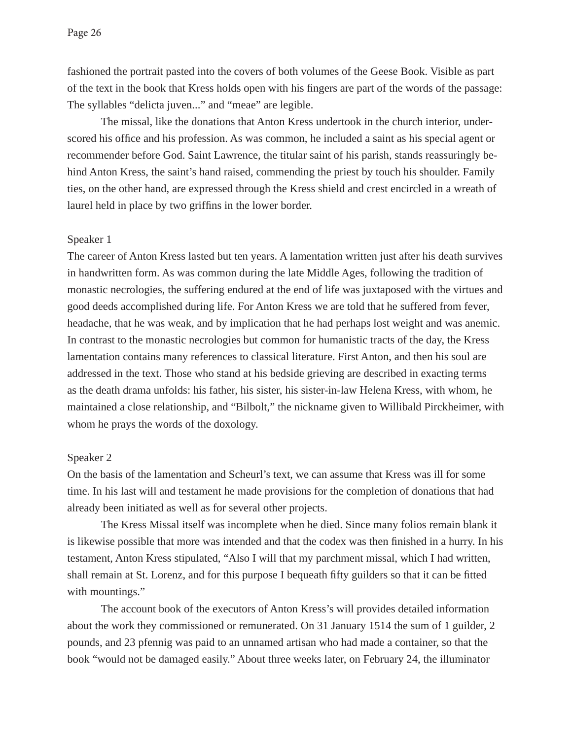fashioned the portrait pasted into the covers of both volumes of the Geese Book. Visible as part of the text in the book that Kress holds open with his fingers are part of the words of the passage: The syllables "delicta juven..." and "meae" are legible.

 The missal, like the donations that Anton Kress undertook in the church interior, underscored his office and his profession. As was common, he included a saint as his special agent or recommender before God. Saint Lawrence, the titular saint of his parish, stands reassuringly behind Anton Kress, the saint's hand raised, commending the priest by touch his shoulder. Family ties, on the other hand, are expressed through the Kress shield and crest encircled in a wreath of laurel held in place by two griffins in the lower border.

#### Speaker 1

The career of Anton Kress lasted but ten years. A lamentation written just after his death survives in handwritten form. As was common during the late Middle Ages, following the tradition of monastic necrologies, the suffering endured at the end of life was juxtaposed with the virtues and good deeds accomplished during life. For Anton Kress we are told that he suffered from fever, headache, that he was weak, and by implication that he had perhaps lost weight and was anemic. In contrast to the monastic necrologies but common for humanistic tracts of the day, the Kress lamentation contains many references to classical literature. First Anton, and then his soul are addressed in the text. Those who stand at his bedside grieving are described in exacting terms as the death drama unfolds: his father, his sister, his sister-in-law Helena Kress, with whom, he maintained a close relationship, and "Bilbolt," the nickname given to Willibald Pirckheimer, with whom he prays the words of the doxology.

#### Speaker 2

On the basis of the lamentation and Scheurl's text, we can assume that Kress was ill for some time. In his last will and testament he made provisions for the completion of donations that had already been initiated as well as for several other projects.

 The Kress Missal itself was incomplete when he died. Since many folios remain blank it is likewise possible that more was intended and that the codex was then finished in a hurry. In his testament, Anton Kress stipulated, "Also I will that my parchment missal, which I had written, shall remain at St. Lorenz, and for this purpose I bequeath fifty guilders so that it can be fitted with mountings."

 The account book of the executors of Anton Kress's will provides detailed information about the work they commissioned or remunerated. On 31 January 1514 the sum of 1 guilder, 2 pounds, and 23 pfennig was paid to an unnamed artisan who had made a container, so that the book "would not be damaged easily." About three weeks later, on February 24, the illuminator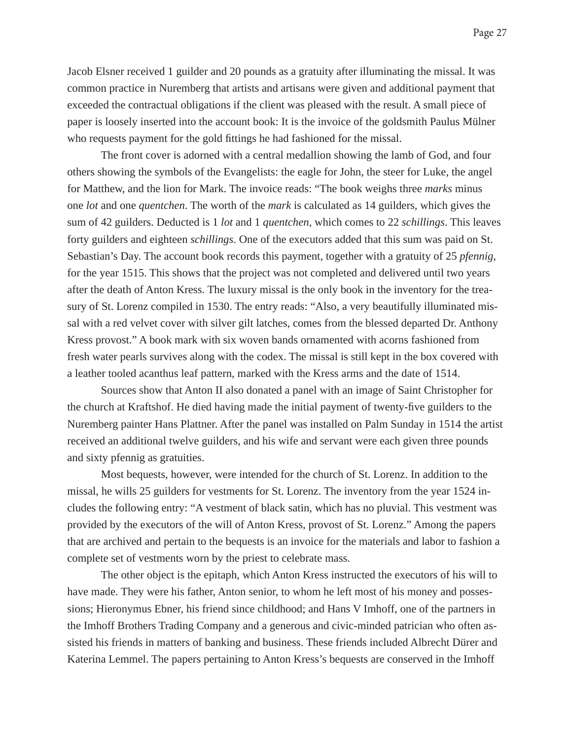Jacob Elsner received 1 guilder and 20 pounds as a gratuity after illuminating the missal. It was common practice in Nuremberg that artists and artisans were given and additional payment that exceeded the contractual obligations if the client was pleased with the result. A small piece of paper is loosely inserted into the account book: It is the invoice of the goldsmith Paulus Mülner who requests payment for the gold fittings he had fashioned for the missal.

 The front cover is adorned with a central medallion showing the lamb of God, and four others showing the symbols of the Evangelists: the eagle for John, the steer for Luke, the angel for Matthew, and the lion for Mark. The invoice reads: "The book weighs three *marks* minus one *lot* and one *quentchen*. The worth of the *mark* is calculated as 14 guilders, which gives the sum of 42 guilders. Deducted is 1 *lot* and 1 *quentchen*, which comes to 22 *schillings*. This leaves forty guilders and eighteen *schillings*. One of the executors added that this sum was paid on St. Sebastian's Day. The account book records this payment, together with a gratuity of 25 *pfennig*, for the year 1515. This shows that the project was not completed and delivered until two years after the death of Anton Kress. The luxury missal is the only book in the inventory for the treasury of St. Lorenz compiled in 1530. The entry reads: "Also, a very beautifully illuminated missal with a red velvet cover with silver gilt latches, comes from the blessed departed Dr. Anthony Kress provost." A book mark with six woven bands ornamented with acorns fashioned from fresh water pearls survives along with the codex. The missal is still kept in the box covered with a leather tooled acanthus leaf pattern, marked with the Kress arms and the date of 1514.

 Sources show that Anton II also donated a panel with an image of Saint Christopher for the church at Kraftshof. He died having made the initial payment of twenty-five guilders to the Nuremberg painter Hans Plattner. After the panel was installed on Palm Sunday in 1514 the artist received an additional twelve guilders, and his wife and servant were each given three pounds and sixty pfennig as gratuities.

 Most bequests, however, were intended for the church of St. Lorenz. In addition to the missal, he wills 25 guilders for vestments for St. Lorenz. The inventory from the year 1524 includes the following entry: "A vestment of black satin, which has no pluvial. This vestment was provided by the executors of the will of Anton Kress, provost of St. Lorenz." Among the papers that are archived and pertain to the bequests is an invoice for the materials and labor to fashion a complete set of vestments worn by the priest to celebrate mass.

 The other object is the epitaph, which Anton Kress instructed the executors of his will to have made. They were his father, Anton senior, to whom he left most of his money and possessions; Hieronymus Ebner, his friend since childhood; and Hans V Imhoff, one of the partners in the Imhoff Brothers Trading Company and a generous and civic-minded patrician who often assisted his friends in matters of banking and business. These friends included Albrecht Dürer and Katerina Lemmel. The papers pertaining to Anton Kress's bequests are conserved in the Imhoff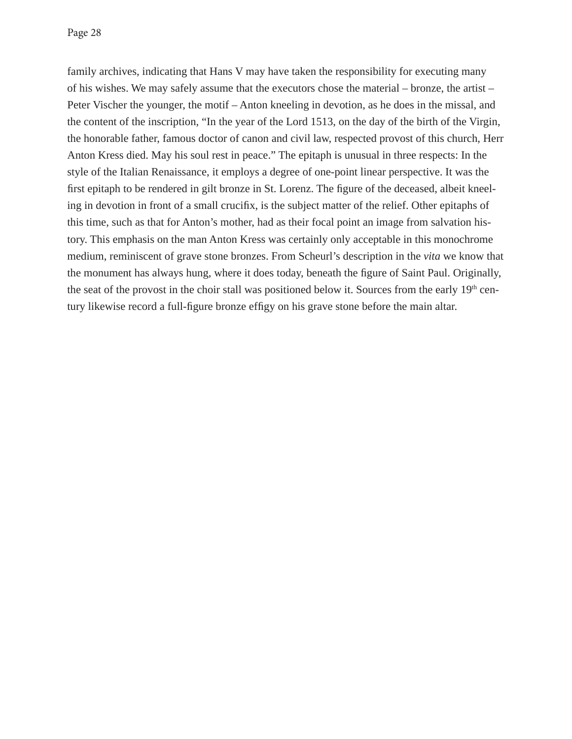Page 28

family archives, indicating that Hans V may have taken the responsibility for executing many of his wishes. We may safely assume that the executors chose the material – bronze, the artist – Peter Vischer the younger, the motif – Anton kneeling in devotion, as he does in the missal, and the content of the inscription, "In the year of the Lord 1513, on the day of the birth of the Virgin, the honorable father, famous doctor of canon and civil law, respected provost of this church, Herr Anton Kress died. May his soul rest in peace." The epitaph is unusual in three respects: In the style of the Italian Renaissance, it employs a degree of one-point linear perspective. It was the first epitaph to be rendered in gilt bronze in St. Lorenz. The figure of the deceased, albeit kneeling in devotion in front of a small crucifix, is the subject matter of the relief. Other epitaphs of this time, such as that for Anton's mother, had as their focal point an image from salvation history. This emphasis on the man Anton Kress was certainly only acceptable in this monochrome medium, reminiscent of grave stone bronzes. From Scheurl's description in the *vita* we know that the monument has always hung, where it does today, beneath the figure of Saint Paul. Originally, the seat of the provost in the choir stall was positioned below it. Sources from the early 19<sup>th</sup> century likewise record a full-figure bronze effigy on his grave stone before the main altar.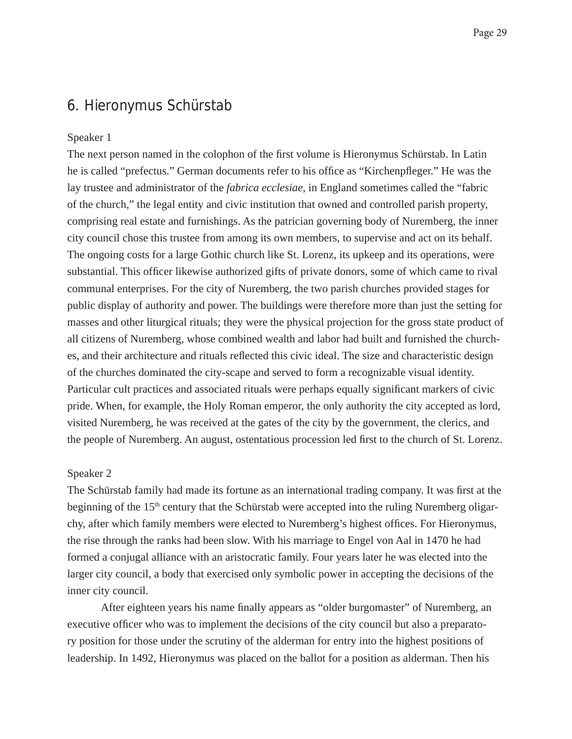## 6. Hieronymus Schürstab

## Speaker 1

The next person named in the colophon of the first volume is Hieronymus Schürstab. In Latin he is called "prefectus." German documents refer to his office as "Kirchenpfleger." He was the lay trustee and administrator of the *fabrica ecclesiae*, in England sometimes called the "fabric of the church," the legal entity and civic institution that owned and controlled parish property, comprising real estate and furnishings. As the patrician governing body of Nuremberg, the inner city council chose this trustee from among its own members, to supervise and act on its behalf. The ongoing costs for a large Gothic church like St. Lorenz, its upkeep and its operations, were substantial. This officer likewise authorized gifts of private donors, some of which came to rival communal enterprises. For the city of Nuremberg, the two parish churches provided stages for public display of authority and power. The buildings were therefore more than just the setting for masses and other liturgical rituals; they were the physical projection for the gross state product of all citizens of Nuremberg, whose combined wealth and labor had built and furnished the churches, and their architecture and rituals reflected this civic ideal. The size and characteristic design of the churches dominated the city-scape and served to form a recognizable visual identity. Particular cult practices and associated rituals were perhaps equally significant markers of civic pride. When, for example, the Holy Roman emperor, the only authority the city accepted as lord, visited Nuremberg, he was received at the gates of the city by the government, the clerics, and the people of Nuremberg. An august, ostentatious procession led first to the church of St. Lorenz.

## Speaker 2

The Schürstab family had made its fortune as an international trading company. It was first at the beginning of the  $15<sup>th</sup>$  century that the Schürstab were accepted into the ruling Nuremberg oligarchy, after which family members were elected to Nuremberg's highest offices. For Hieronymus, the rise through the ranks had been slow. With his marriage to Engel von Aal in 1470 he had formed a conjugal alliance with an aristocratic family. Four years later he was elected into the larger city council, a body that exercised only symbolic power in accepting the decisions of the inner city council.

After eighteen years his name finally appears as "older burgomaster" of Nuremberg, an executive officer who was to implement the decisions of the city council but also a preparatory position for those under the scrutiny of the alderman for entry into the highest positions of leadership. In 1492, Hieronymus was placed on the ballot for a position as alderman. Then his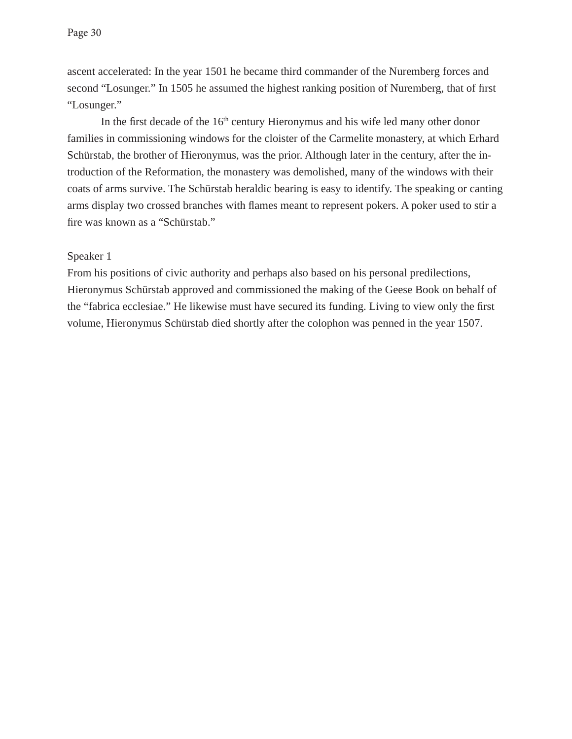ascent accelerated: In the year 1501 he became third commander of the Nuremberg forces and second "Losunger." In 1505 he assumed the highest ranking position of Nuremberg, that of first "Losunger."

In the first decade of the  $16<sup>th</sup>$  century Hieronymus and his wife led many other donor families in commissioning windows for the cloister of the Carmelite monastery, at which Erhard Schürstab, the brother of Hieronymus, was the prior. Although later in the century, after the introduction of the Reformation, the monastery was demolished, many of the windows with their coats of arms survive. The Schürstab heraldic bearing is easy to identify. The speaking or canting arms display two crossed branches with flames meant to represent pokers. A poker used to stir a fire was known as a "Schürstab."

#### Speaker 1

From his positions of civic authority and perhaps also based on his personal predilections, Hieronymus Schürstab approved and commissioned the making of the Geese Book on behalf of the "fabrica ecclesiae." He likewise must have secured its funding. Living to view only the first volume, Hieronymus Schürstab died shortly after the colophon was penned in the year 1507.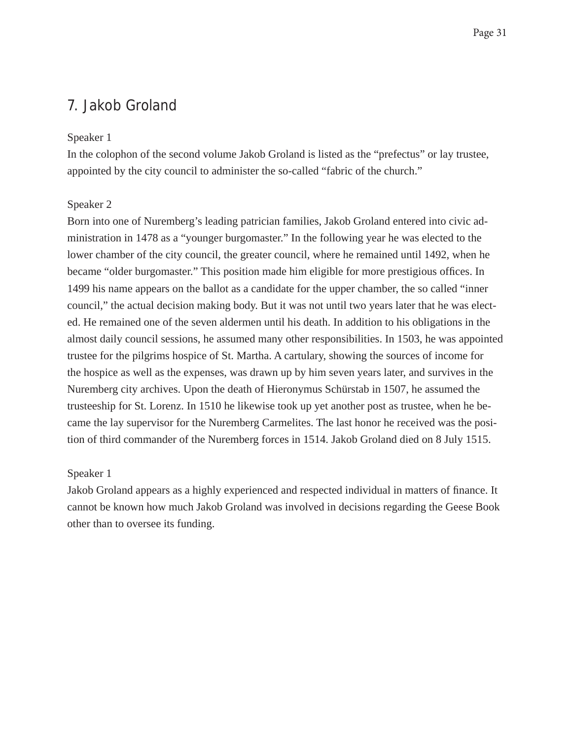# 7. Jakob Groland

### Speaker 1

In the colophon of the second volume Jakob Groland is listed as the "prefectus" or lay trustee, appointed by the city council to administer the so-called "fabric of the church."

#### Speaker 2

Born into one of Nuremberg's leading patrician families, Jakob Groland entered into civic administration in 1478 as a "younger burgomaster." In the following year he was elected to the lower chamber of the city council, the greater council, where he remained until 1492, when he became "older burgomaster." This position made him eligible for more prestigious offices. In 1499 his name appears on the ballot as a candidate for the upper chamber, the so called "inner council," the actual decision making body. But it was not until two years later that he was elected. He remained one of the seven aldermen until his death. In addition to his obligations in the almost daily council sessions, he assumed many other responsibilities. In 1503, he was appointed trustee for the pilgrims hospice of St. Martha. A cartulary, showing the sources of income for the hospice as well as the expenses, was drawn up by him seven years later, and survives in the Nuremberg city archives. Upon the death of Hieronymus Schürstab in 1507, he assumed the trusteeship for St. Lorenz. In 1510 he likewise took up yet another post as trustee, when he became the lay supervisor for the Nuremberg Carmelites. The last honor he received was the position of third commander of the Nuremberg forces in 1514. Jakob Groland died on 8 July 1515.

#### Speaker 1

Jakob Groland appears as a highly experienced and respected individual in matters of finance. It cannot be known how much Jakob Groland was involved in decisions regarding the Geese Book other than to oversee its funding.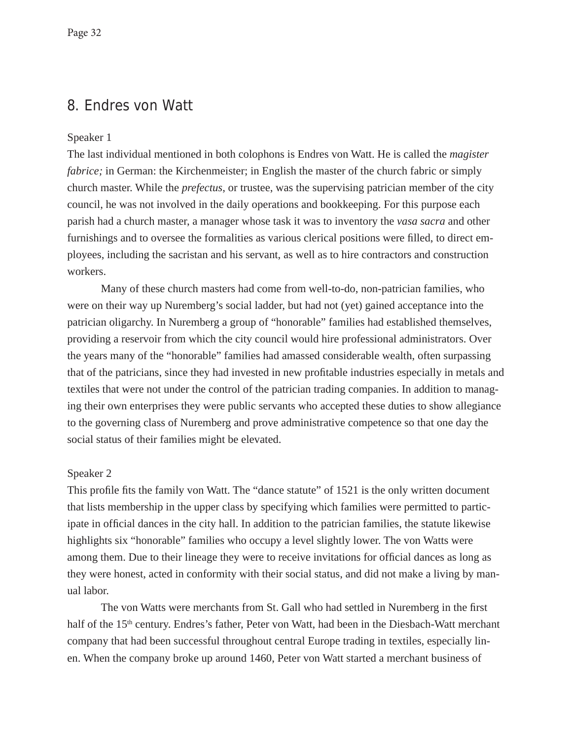## 8. Endres von Watt

## Speaker 1

The last individual mentioned in both colophons is Endres von Watt. He is called the *magister fabrice;* in German: the Kirchenmeister; in English the master of the church fabric or simply church master. While the *prefectus*, or trustee, was the supervising patrician member of the city council, he was not involved in the daily operations and bookkeeping. For this purpose each parish had a church master, a manager whose task it was to inventory the *vasa sacra* and other furnishings and to oversee the formalities as various clerical positions were filled, to direct employees, including the sacristan and his servant, as well as to hire contractors and construction workers.

 Many of these church masters had come from well-to-do, non-patrician families, who were on their way up Nuremberg's social ladder, but had not (yet) gained acceptance into the patrician oligarchy. In Nuremberg a group of "honorable" families had established themselves, providing a reservoir from which the city council would hire professional administrators. Over the years many of the "honorable" families had amassed considerable wealth, often surpassing that of the patricians, since they had invested in new profitable industries especially in metals and textiles that were not under the control of the patrician trading companies. In addition to managing their own enterprises they were public servants who accepted these duties to show allegiance to the governing class of Nuremberg and prove administrative competence so that one day the social status of their families might be elevated.

## Speaker 2

This profile fits the family von Watt. The "dance statute" of 1521 is the only written document that lists membership in the upper class by specifying which families were permitted to participate in official dances in the city hall. In addition to the patrician families, the statute likewise highlights six "honorable" families who occupy a level slightly lower. The von Watts were among them. Due to their lineage they were to receive invitations for official dances as long as they were honest, acted in conformity with their social status, and did not make a living by manual labor.

The von Watts were merchants from St. Gall who had settled in Nuremberg in the first half of the 15<sup>th</sup> century. Endres's father, Peter von Watt, had been in the Diesbach-Watt merchant company that had been successful throughout central Europe trading in textiles, especially linen. When the company broke up around 1460, Peter von Watt started a merchant business of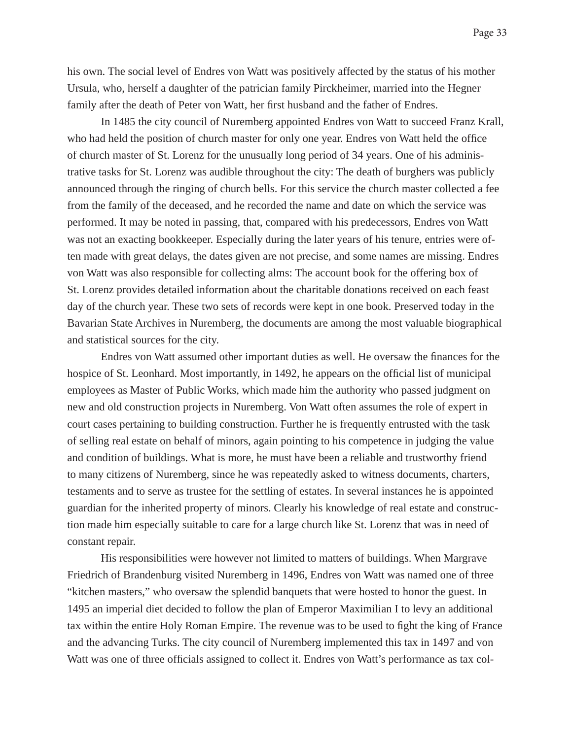his own. The social level of Endres von Watt was positively affected by the status of his mother Ursula, who, herself a daughter of the patrician family Pirckheimer, married into the Hegner family after the death of Peter von Watt, her first husband and the father of Endres.

 In 1485 the city council of Nuremberg appointed Endres von Watt to succeed Franz Krall, who had held the position of church master for only one year. Endres von Watt held the office of church master of St. Lorenz for the unusually long period of 34 years. One of his administrative tasks for St. Lorenz was audible throughout the city: The death of burghers was publicly announced through the ringing of church bells. For this service the church master collected a fee from the family of the deceased, and he recorded the name and date on which the service was performed. It may be noted in passing, that, compared with his predecessors, Endres von Watt was not an exacting bookkeeper. Especially during the later years of his tenure, entries were often made with great delays, the dates given are not precise, and some names are missing. Endres von Watt was also responsible for collecting alms: The account book for the offering box of St. Lorenz provides detailed information about the charitable donations received on each feast day of the church year. These two sets of records were kept in one book. Preserved today in the Bavarian State Archives in Nuremberg, the documents are among the most valuable biographical and statistical sources for the city.

Endres von Watt assumed other important duties as well. He oversaw the finances for the hospice of St. Leonhard. Most importantly, in 1492, he appears on the official list of municipal employees as Master of Public Works, which made him the authority who passed judgment on new and old construction projects in Nuremberg. Von Watt often assumes the role of expert in court cases pertaining to building construction. Further he is frequently entrusted with the task of selling real estate on behalf of minors, again pointing to his competence in judging the value and condition of buildings. What is more, he must have been a reliable and trustworthy friend to many citizens of Nuremberg, since he was repeatedly asked to witness documents, charters, testaments and to serve as trustee for the settling of estates. In several instances he is appointed guardian for the inherited property of minors. Clearly his knowledge of real estate and construction made him especially suitable to care for a large church like St. Lorenz that was in need of constant repair.

His responsibilities were however not limited to matters of buildings. When Margrave Friedrich of Brandenburg visited Nuremberg in 1496, Endres von Watt was named one of three "kitchen masters," who oversaw the splendid banquets that were hosted to honor the guest. In 1495 an imperial diet decided to follow the plan of Emperor Maximilian I to levy an additional tax within the entire Holy Roman Empire. The revenue was to be used to fight the king of France and the advancing Turks. The city council of Nuremberg implemented this tax in 1497 and von Watt was one of three officials assigned to collect it. Endres von Watt's performance as tax col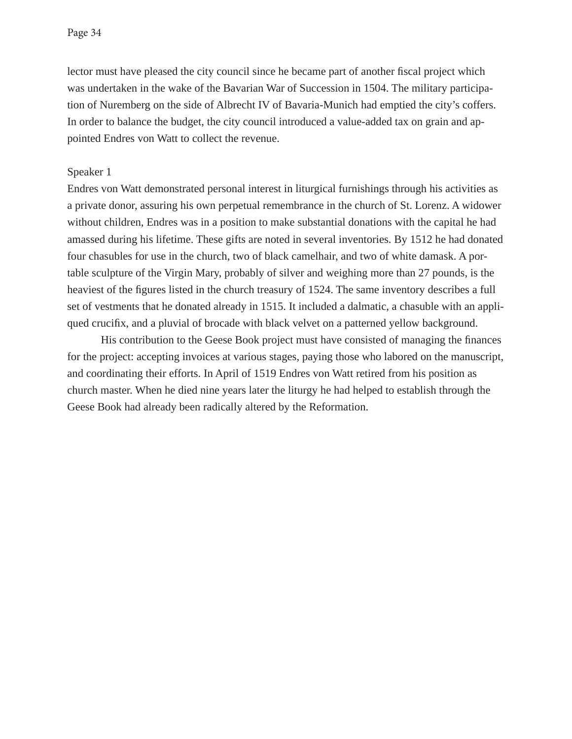lector must have pleased the city council since he became part of another fiscal project which was undertaken in the wake of the Bavarian War of Succession in 1504. The military participation of Nuremberg on the side of Albrecht IV of Bavaria-Munich had emptied the city's coffers. In order to balance the budget, the city council introduced a value-added tax on grain and appointed Endres von Watt to collect the revenue.

### Speaker 1

Endres von Watt demonstrated personal interest in liturgical furnishings through his activities as a private donor, assuring his own perpetual remembrance in the church of St. Lorenz. A widower without children, Endres was in a position to make substantial donations with the capital he had amassed during his lifetime. These gifts are noted in several inventories. By 1512 he had donated four chasubles for use in the church, two of black camelhair, and two of white damask. A portable sculpture of the Virgin Mary, probably of silver and weighing more than 27 pounds, is the heaviest of the figures listed in the church treasury of 1524. The same inventory describes a full set of vestments that he donated already in 1515. It included a dalmatic, a chasuble with an appliqued crucifix, and a pluvial of brocade with black velvet on a patterned yellow background.

His contribution to the Geese Book project must have consisted of managing the finances for the project: accepting invoices at various stages, paying those who labored on the manuscript, and coordinating their efforts. In April of 1519 Endres von Watt retired from his position as church master. When he died nine years later the liturgy he had helped to establish through the Geese Book had already been radically altered by the Reformation.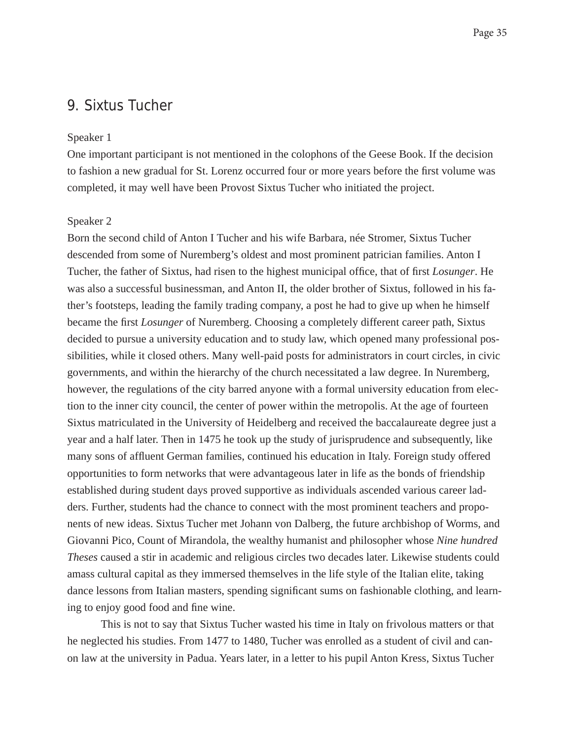## 9. Sixtus Tucher

#### Speaker 1

One important participant is not mentioned in the colophons of the Geese Book. If the decision to fashion a new gradual for St. Lorenz occurred four or more years before the first volume was completed, it may well have been Provost Sixtus Tucher who initiated the project.

#### Speaker 2

Born the second child of Anton I Tucher and his wife Barbara, née Stromer, Sixtus Tucher descended from some of Nuremberg's oldest and most prominent patrician families. Anton I Tucher, the father of Sixtus, had risen to the highest municipal office, that of first *Losunger*. He was also a successful businessman, and Anton II, the older brother of Sixtus, followed in his father's footsteps, leading the family trading company, a post he had to give up when he himself became the first *Losunger* of Nuremberg. Choosing a completely different career path, Sixtus decided to pursue a university education and to study law, which opened many professional possibilities, while it closed others. Many well-paid posts for administrators in court circles, in civic governments, and within the hierarchy of the church necessitated a law degree. In Nuremberg, however, the regulations of the city barred anyone with a formal university education from election to the inner city council, the center of power within the metropolis. At the age of fourteen Sixtus matriculated in the University of Heidelberg and received the baccalaureate degree just a year and a half later. Then in 1475 he took up the study of jurisprudence and subsequently, like many sons of affluent German families, continued his education in Italy. Foreign study offered opportunities to form networks that were advantageous later in life as the bonds of friendship established during student days proved supportive as individuals ascended various career ladders. Further, students had the chance to connect with the most prominent teachers and proponents of new ideas. Sixtus Tucher met Johann von Dalberg, the future archbishop of Worms, and Giovanni Pico, Count of Mirandola, the wealthy humanist and philosopher whose *Nine hundred Theses* caused a stir in academic and religious circles two decades later. Likewise students could amass cultural capital as they immersed themselves in the life style of the Italian elite, taking dance lessons from Italian masters, spending significant sums on fashionable clothing, and learning to enjoy good food and fine wine.

This is not to say that Sixtus Tucher wasted his time in Italy on frivolous matters or that he neglected his studies. From 1477 to 1480, Tucher was enrolled as a student of civil and canon law at the university in Padua. Years later, in a letter to his pupil Anton Kress, Sixtus Tucher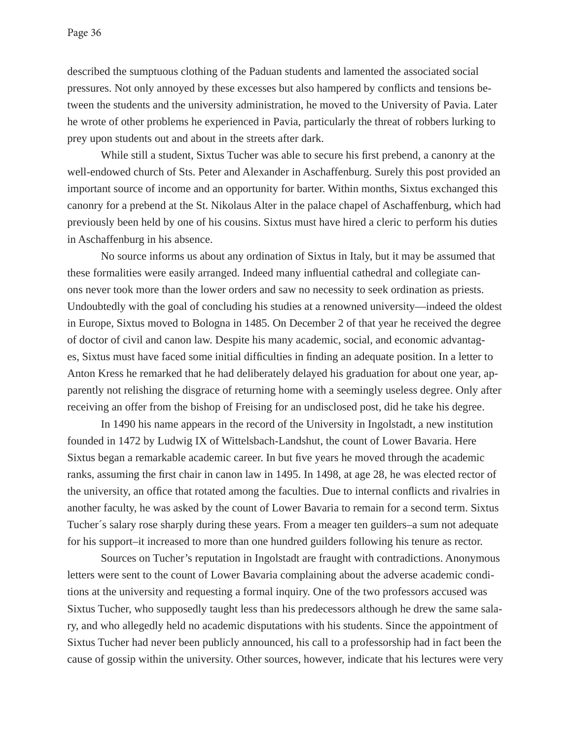described the sumptuous clothing of the Paduan students and lamented the associated social pressures. Not only annoyed by these excesses but also hampered by conflicts and tensions between the students and the university administration, he moved to the University of Pavia. Later he wrote of other problems he experienced in Pavia, particularly the threat of robbers lurking to prey upon students out and about in the streets after dark.

While still a student, Sixtus Tucher was able to secure his first prebend, a canonry at the well-endowed church of Sts. Peter and Alexander in Aschaffenburg. Surely this post provided an important source of income and an opportunity for barter. Within months, Sixtus exchanged this canonry for a prebend at the St. Nikolaus Alter in the palace chapel of Aschaffenburg, which had previously been held by one of his cousins. Sixtus must have hired a cleric to perform his duties in Aschaffenburg in his absence.

No source informs us about any ordination of Sixtus in Italy, but it may be assumed that these formalities were easily arranged. Indeed many influential cathedral and collegiate canons never took more than the lower orders and saw no necessity to seek ordination as priests. Undoubtedly with the goal of concluding his studies at a renowned university—indeed the oldest in Europe, Sixtus moved to Bologna in 1485. On December 2 of that year he received the degree of doctor of civil and canon law. Despite his many academic, social, and economic advantages, Sixtus must have faced some initial difficulties in finding an adequate position. In a letter to Anton Kress he remarked that he had deliberately delayed his graduation for about one year, apparently not relishing the disgrace of returning home with a seemingly useless degree. Only after receiving an offer from the bishop of Freising for an undisclosed post, did he take his degree.

In 1490 his name appears in the record of the University in Ingolstadt, a new institution founded in 1472 by Ludwig IX of Wittelsbach-Landshut, the count of Lower Bavaria. Here Sixtus began a remarkable academic career. In but five years he moved through the academic ranks, assuming the first chair in canon law in 1495. In 1498, at age 28, he was elected rector of the university, an office that rotated among the faculties. Due to internal conflicts and rivalries in another faculty, he was asked by the count of Lower Bavaria to remain for a second term. Sixtus Tucher´s salary rose sharply during these years. From a meager ten guilders–a sum not adequate for his support–it increased to more than one hundred guilders following his tenure as rector.

Sources on Tucher's reputation in Ingolstadt are fraught with contradictions. Anonymous letters were sent to the count of Lower Bavaria complaining about the adverse academic conditions at the university and requesting a formal inquiry. One of the two professors accused was Sixtus Tucher, who supposedly taught less than his predecessors although he drew the same salary, and who allegedly held no academic disputations with his students. Since the appointment of Sixtus Tucher had never been publicly announced, his call to a professorship had in fact been the cause of gossip within the university. Other sources, however, indicate that his lectures were very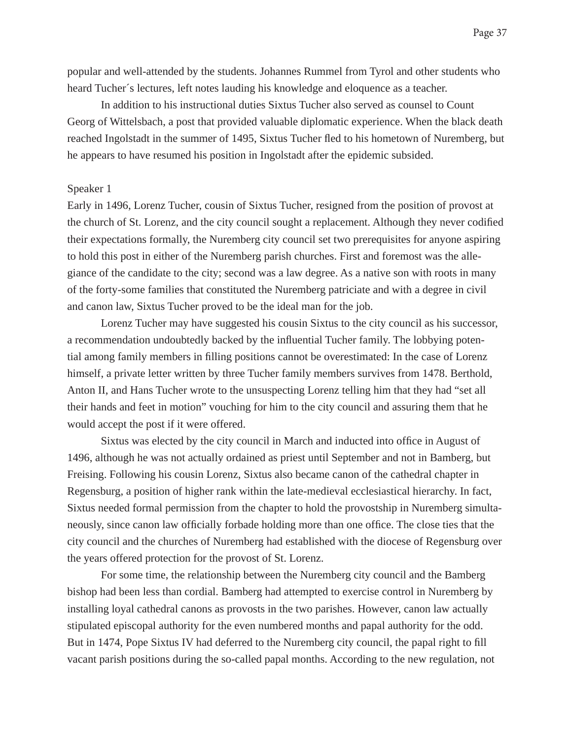popular and well-attended by the students. Johannes Rummel from Tyrol and other students who heard Tucher´s lectures, left notes lauding his knowledge and eloquence as a teacher.

In addition to his instructional duties Sixtus Tucher also served as counsel to Count Georg of Wittelsbach, a post that provided valuable diplomatic experience. When the black death reached Ingolstadt in the summer of 1495, Sixtus Tucher fled to his hometown of Nuremberg, but he appears to have resumed his position in Ingolstadt after the epidemic subsided.

#### Speaker 1

Early in 1496, Lorenz Tucher, cousin of Sixtus Tucher, resigned from the position of provost at the church of St. Lorenz, and the city council sought a replacement. Although they never codified their expectations formally, the Nuremberg city council set two prerequisites for anyone aspiring to hold this post in either of the Nuremberg parish churches. First and foremost was the allegiance of the candidate to the city; second was a law degree. As a native son with roots in many of the forty-some families that constituted the Nuremberg patriciate and with a degree in civil and canon law, Sixtus Tucher proved to be the ideal man for the job.

Lorenz Tucher may have suggested his cousin Sixtus to the city council as his successor, a recommendation undoubtedly backed by the influential Tucher family. The lobbying potential among family members in filling positions cannot be overestimated: In the case of Lorenz himself, a private letter written by three Tucher family members survives from 1478. Berthold, Anton II, and Hans Tucher wrote to the unsuspecting Lorenz telling him that they had "set all their hands and feet in motion" vouching for him to the city council and assuring them that he would accept the post if it were offered.

Sixtus was elected by the city council in March and inducted into office in August of 1496, although he was not actually ordained as priest until September and not in Bamberg, but Freising. Following his cousin Lorenz, Sixtus also became canon of the cathedral chapter in Regensburg, a position of higher rank within the late-medieval ecclesiastical hierarchy. In fact, Sixtus needed formal permission from the chapter to hold the provostship in Nuremberg simultaneously, since canon law officially forbade holding more than one office. The close ties that the city council and the churches of Nuremberg had established with the diocese of Regensburg over the years offered protection for the provost of St. Lorenz.

For some time, the relationship between the Nuremberg city council and the Bamberg bishop had been less than cordial. Bamberg had attempted to exercise control in Nuremberg by installing loyal cathedral canons as provosts in the two parishes. However, canon law actually stipulated episcopal authority for the even numbered months and papal authority for the odd. But in 1474, Pope Sixtus IV had deferred to the Nuremberg city council, the papal right to fill vacant parish positions during the so-called papal months. According to the new regulation, not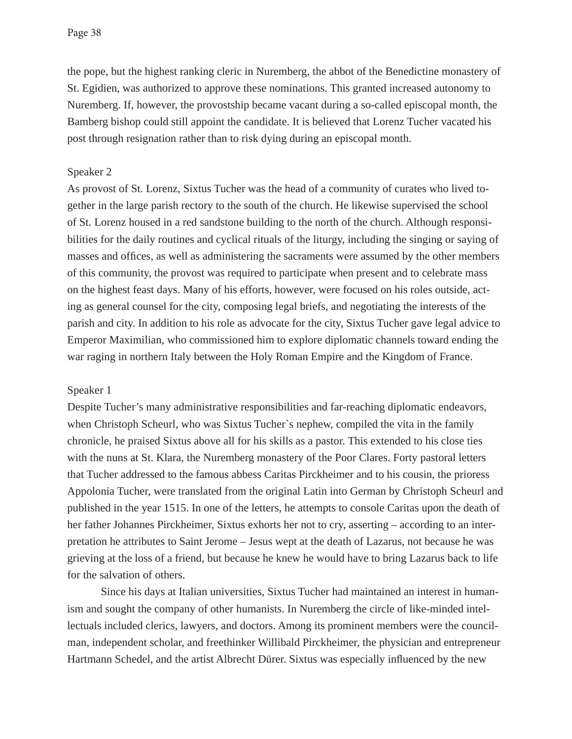the pope, but the highest ranking cleric in Nuremberg, the abbot of the Benedictine monastery of St. Egidien, was authorized to approve these nominations. This granted increased autonomy to Nuremberg. If, however, the provostship became vacant during a so-called episcopal month, the Bamberg bishop could still appoint the candidate. It is believed that Lorenz Tucher vacated his post through resignation rather than to risk dying during an episcopal month.

### Speaker 2

As provost of St. Lorenz, Sixtus Tucher was the head of a community of curates who lived together in the large parish rectory to the south of the church. He likewise supervised the school of St. Lorenz housed in a red sandstone building to the north of the church. Although responsibilities for the daily routines and cyclical rituals of the liturgy, including the singing or saying of masses and offices, as well as administering the sacraments were assumed by the other members of this community, the provost was required to participate when present and to celebrate mass on the highest feast days. Many of his efforts, however, were focused on his roles outside, acting as general counsel for the city, composing legal briefs, and negotiating the interests of the parish and city. In addition to his role as advocate for the city, Sixtus Tucher gave legal advice to Emperor Maximilian, who commissioned him to explore diplomatic channels toward ending the war raging in northern Italy between the Holy Roman Empire and the Kingdom of France.

#### Speaker 1

Despite Tucher's many administrative responsibilities and far-reaching diplomatic endeavors, when Christoph Scheurl, who was Sixtus Tucher`s nephew, compiled the vita in the family chronicle, he praised Sixtus above all for his skills as a pastor. This extended to his close ties with the nuns at St. Klara, the Nuremberg monastery of the Poor Clares. Forty pastoral letters that Tucher addressed to the famous abbess Caritas Pirckheimer and to his cousin, the prioress Appolonia Tucher, were translated from the original Latin into German by Christoph Scheurl and published in the year 1515. In one of the letters, he attempts to console Caritas upon the death of her father Johannes Pirckheimer, Sixtus exhorts her not to cry, asserting – according to an interpretation he attributes to Saint Jerome – Jesus wept at the death of Lazarus, not because he was grieving at the loss of a friend, but because he knew he would have to bring Lazarus back to life for the salvation of others.

Since his days at Italian universities, Sixtus Tucher had maintained an interest in humanism and sought the company of other humanists. In Nuremberg the circle of like-minded intellectuals included clerics, lawyers, and doctors. Among its prominent members were the councilman, independent scholar, and freethinker Willibald Pirckheimer, the physician and entrepreneur Hartmann Schedel, and the artist Albrecht Dürer. Sixtus was especially influenced by the new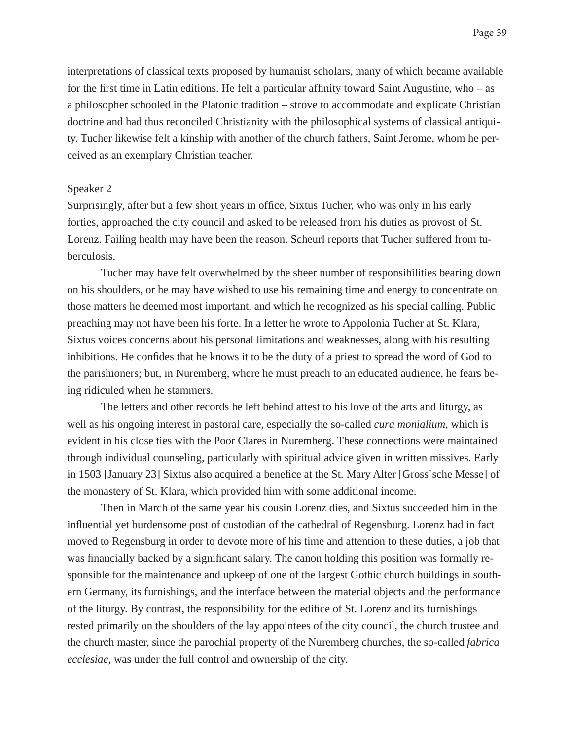interpretations of classical texts proposed by humanist scholars, many of which became available for the first time in Latin editions. He felt a particular affinity toward Saint Augustine, who  $-$  as a philosopher schooled in the Platonic tradition – strove to accommodate and explicate Christian doctrine and had thus reconciled Christianity with the philosophical systems of classical antiquity. Tucher likewise felt a kinship with another of the church fathers, Saint Jerome, whom he perceived as an exemplary Christian teacher.

#### Speaker 2

Surprisingly, after but a few short years in office, Sixtus Tucher, who was only in his early forties, approached the city council and asked to be released from his duties as provost of St. Lorenz. Failing health may have been the reason. Scheurl reports that Tucher suffered from tuberculosis.

 Tucher may have felt overwhelmed by the sheer number of responsibilities bearing down on his shoulders, or he may have wished to use his remaining time and energy to concentrate on those matters he deemed most important, and which he recognized as his special calling. Public preaching may not have been his forte. In a letter he wrote to Appolonia Tucher at St. Klara, Sixtus voices concerns about his personal limitations and weaknesses, along with his resulting inhibitions. He confides that he knows it to be the duty of a priest to spread the word of God to the parishioners; but, in Nuremberg, where he must preach to an educated audience, he fears being ridiculed when he stammers.

 The letters and other records he left behind attest to his love of the arts and liturgy, as well as his ongoing interest in pastoral care, especially the so-called *cura monialium*, which is evident in his close ties with the Poor Clares in Nuremberg. These connections were maintained through individual counseling, particularly with spiritual advice given in written missives. Early in 1503 [January 23] Sixtus also acquired a benefice at the St. Mary Alter [Gross`sche Messe] of the monastery of St. Klara, which provided him with some additional income.

 Then in March of the same year his cousin Lorenz dies, and Sixtus succeeded him in the influential yet burdensome post of custodian of the cathedral of Regensburg. Lorenz had in fact moved to Regensburg in order to devote more of his time and attention to these duties, a job that was financially backed by a significant salary. The canon holding this position was formally responsible for the maintenance and upkeep of one of the largest Gothic church buildings in southern Germany, its furnishings, and the interface between the material objects and the performance of the liturgy. By contrast, the responsibility for the edifice of St. Lorenz and its furnishings rested primarily on the shoulders of the lay appointees of the city council, the church trustee and the church master, since the parochial property of the Nuremberg churches, the so-called *fabrica ecclesiae,* was under the full control and ownership of the city.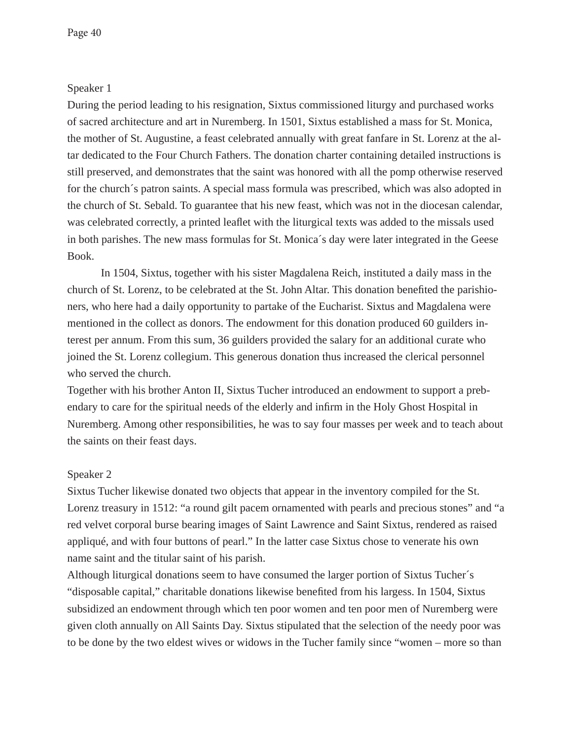## Speaker 1

During the period leading to his resignation, Sixtus commissioned liturgy and purchased works of sacred architecture and art in Nuremberg. In 1501, Sixtus established a mass for St. Monica, the mother of St. Augustine, a feast celebrated annually with great fanfare in St. Lorenz at the altar dedicated to the Four Church Fathers. The donation charter containing detailed instructions is still preserved, and demonstrates that the saint was honored with all the pomp otherwise reserved for the church´s patron saints. A special mass formula was prescribed, which was also adopted in the church of St. Sebald. To guarantee that his new feast, which was not in the diocesan calendar, was celebrated correctly, a printed leaflet with the liturgical texts was added to the missals used in both parishes. The new mass formulas for St. Monica´s day were later integrated in the Geese Book.

 In 1504, Sixtus, together with his sister Magdalena Reich, instituted a daily mass in the church of St. Lorenz, to be celebrated at the St. John Altar. This donation benefited the parishioners, who here had a daily opportunity to partake of the Eucharist. Sixtus and Magdalena were mentioned in the collect as donors. The endowment for this donation produced 60 guilders interest per annum. From this sum, 36 guilders provided the salary for an additional curate who joined the St. Lorenz collegium. This generous donation thus increased the clerical personnel who served the church.

Together with his brother Anton II, Sixtus Tucher introduced an endowment to support a prebendary to care for the spiritual needs of the elderly and infirm in the Holy Ghost Hospital in Nuremberg. Among other responsibilities, he was to say four masses per week and to teach about the saints on their feast days.

## Speaker 2

Sixtus Tucher likewise donated two objects that appear in the inventory compiled for the St. Lorenz treasury in 1512: "a round gilt pacem ornamented with pearls and precious stones" and "a red velvet corporal burse bearing images of Saint Lawrence and Saint Sixtus, rendered as raised appliqué, and with four buttons of pearl." In the latter case Sixtus chose to venerate his own name saint and the titular saint of his parish.

Although liturgical donations seem to have consumed the larger portion of Sixtus Tucher´s "disposable capital," charitable donations likewise benefited from his largess. In 1504, Sixtus subsidized an endowment through which ten poor women and ten poor men of Nuremberg were given cloth annually on All Saints Day. Sixtus stipulated that the selection of the needy poor was to be done by the two eldest wives or widows in the Tucher family since "women – more so than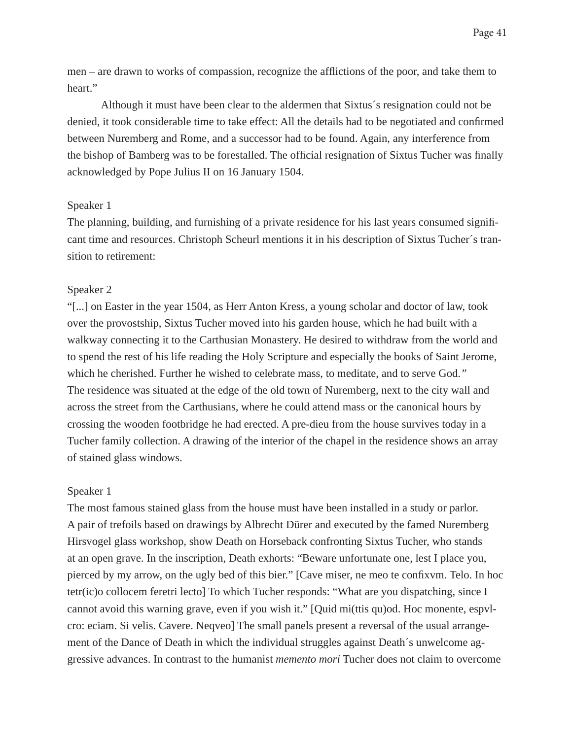men – are drawn to works of compassion, recognize the afflictions of the poor, and take them to heart."

 Although it must have been clear to the aldermen that Sixtus´s resignation could not be denied, it took considerable time to take effect: All the details had to be negotiated and confirmed between Nuremberg and Rome, and a successor had to be found. Again, any interference from the bishop of Bamberg was to be forestalled. The official resignation of Sixtus Tucher was finally acknowledged by Pope Julius II on 16 January 1504.

## Speaker 1

The planning, building, and furnishing of a private residence for his last years consumed significant time and resources. Christoph Scheurl mentions it in his description of Sixtus Tucher´s transition to retirement:

#### Speaker 2

"[...] on Easter in the year 1504, as Herr Anton Kress, a young scholar and doctor of law, took over the provostship, Sixtus Tucher moved into his garden house*,* which he had built with a walkway connecting it to the Carthusian Monastery. He desired to withdraw from the world and to spend the rest of his life reading the Holy Scripture and especially the books of Saint Jerome, which he cherished. Further he wished to celebrate mass, to meditate, and to serve God.*"* The residence was situated at the edge of the old town of Nuremberg, next to the city wall and across the street from the Carthusians, where he could attend mass or the canonical hours by crossing the wooden footbridge he had erected. A pre-dieu from the house survives today in a Tucher family collection. A drawing of the interior of the chapel in the residence shows an array of stained glass windows.

#### Speaker 1

The most famous stained glass from the house must have been installed in a study or parlor. A pair of trefoils based on drawings by Albrecht Dürer and executed by the famed Nuremberg Hirsvogel glass workshop, show Death on Horseback confronting Sixtus Tucher, who stands at an open grave. In the inscription, Death exhorts: "Beware unfortunate one, lest I place you, pierced by my arrow, on the ugly bed of this bier." [Cave miser, ne meo te confixvm. Telo. In hoc tetr(ic)o collocem feretri lecto] To which Tucher responds: "What are you dispatching, since I cannot avoid this warning grave, even if you wish it." [Quid mi(ttis qu)od. Hoc monente, espvlcro: eciam. Si velis. Cavere. Neqveo] The small panels present a reversal of the usual arrangement of the Dance of Death in which the individual struggles against Death´s unwelcome aggressive advances. In contrast to the humanist *memento mori* Tucher does not claim to overcome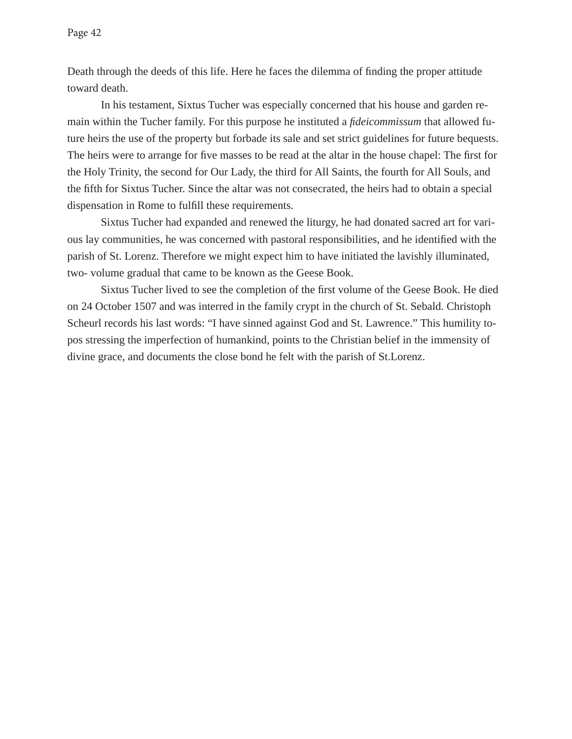Death through the deeds of this life. Here he faces the dilemma of finding the proper attitude toward death.

In his testament, Sixtus Tucher was especially concerned that his house and garden remain within the Tucher family. For this purpose he instituted a *fideicommissum* that allowed future heirs the use of the property but forbade its sale and set strict guidelines for future bequests. The heirs were to arrange for five masses to be read at the altar in the house chapel: The first for the Holy Trinity, the second for Our Lady, the third for All Saints, the fourth for All Souls, and the fifth for Sixtus Tucher. Since the altar was not consecrated, the heirs had to obtain a special dispensation in Rome to fulfill these requirements.

Sixtus Tucher had expanded and renewed the liturgy, he had donated sacred art for various lay communities, he was concerned with pastoral responsibilities, and he identified with the parish of St. Lorenz. Therefore we might expect him to have initiated the lavishly illuminated, two- volume gradual that came to be known as the Geese Book.

Sixtus Tucher lived to see the completion of the first volume of the Geese Book. He died on 24 October 1507 and was interred in the family crypt in the church of St. Sebald. Christoph Scheurl records his last words: "I have sinned against God and St. Lawrence." This humility topos stressing the imperfection of humankind, points to the Christian belief in the immensity of divine grace, and documents the close bond he felt with the parish of St.Lorenz.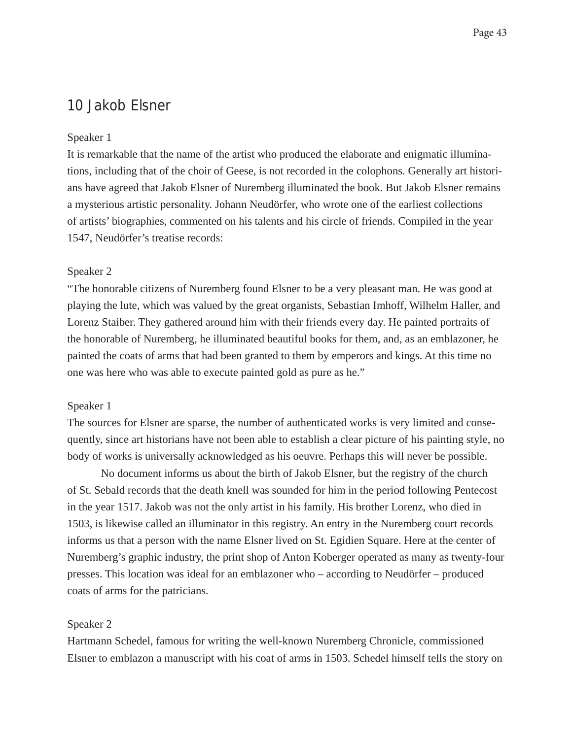## 10 Jakob Elsner

#### Speaker 1

It is remarkable that the name of the artist who produced the elaborate and enigmatic illuminations, including that of the choir of Geese, is not recorded in the colophons. Generally art historians have agreed that Jakob Elsner of Nuremberg illuminated the book. But Jakob Elsner remains a mysterious artistic personality. Johann Neudörfer, who wrote one of the earliest collections of artists' biographies, commented on his talents and his circle of friends. Compiled in the year 1547, Neudörfer's treatise records:

### Speaker 2

"The honorable citizens of Nuremberg found Elsner to be a very pleasant man. He was good at playing the lute, which was valued by the great organists, Sebastian Imhoff, Wilhelm Haller, and Lorenz Staiber. They gathered around him with their friends every day. He painted portraits of the honorable of Nuremberg, he illuminated beautiful books for them, and, as an emblazoner, he painted the coats of arms that had been granted to them by emperors and kings. At this time no one was here who was able to execute painted gold as pure as he."

#### Speaker 1

The sources for Elsner are sparse, the number of authenticated works is very limited and consequently, since art historians have not been able to establish a clear picture of his painting style, no body of works is universally acknowledged as his oeuvre. Perhaps this will never be possible.

 No document informs us about the birth of Jakob Elsner, but the registry of the church of St. Sebald records that the death knell was sounded for him in the period following Pentecost in the year 1517. Jakob was not the only artist in his family. His brother Lorenz, who died in 1503, is likewise called an illuminator in this registry. An entry in the Nuremberg court records informs us that a person with the name Elsner lived on St. Egidien Square. Here at the center of Nuremberg's graphic industry, the print shop of Anton Koberger operated as many as twenty-four presses. This location was ideal for an emblazoner who – according to Neudörfer – produced coats of arms for the patricians.

#### Speaker 2

Hartmann Schedel, famous for writing the well-known Nuremberg Chronicle, commissioned Elsner to emblazon a manuscript with his coat of arms in 1503. Schedel himself tells the story on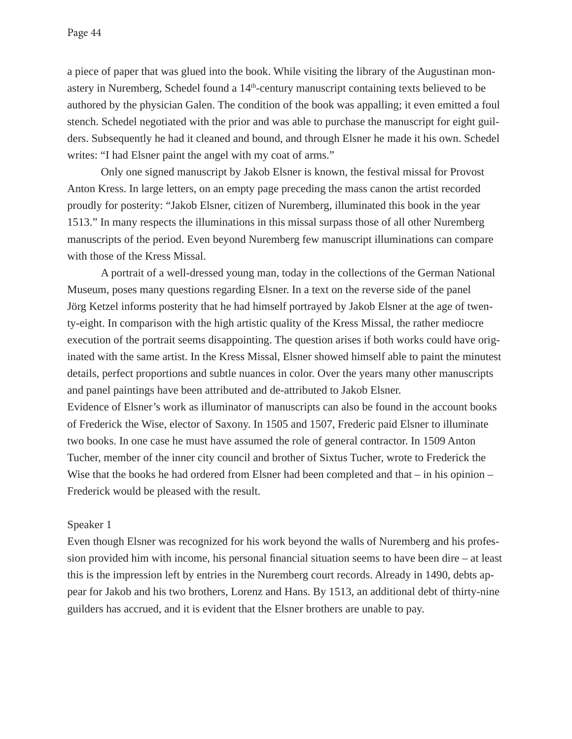a piece of paper that was glued into the book. While visiting the library of the Augustinan monastery in Nuremberg, Schedel found a 14th-century manuscript containing texts believed to be authored by the physician Galen. The condition of the book was appalling; it even emitted a foul stench. Schedel negotiated with the prior and was able to purchase the manuscript for eight guilders. Subsequently he had it cleaned and bound, and through Elsner he made it his own. Schedel writes: "I had Elsner paint the angel with my coat of arms."

 Only one signed manuscript by Jakob Elsner is known, the festival missal for Provost Anton Kress. In large letters, on an empty page preceding the mass canon the artist recorded proudly for posterity: "Jakob Elsner, citizen of Nuremberg, illuminated this book in the year 1513." In many respects the illuminations in this missal surpass those of all other Nuremberg manuscripts of the period. Even beyond Nuremberg few manuscript illuminations can compare with those of the Kress Missal.

A portrait of a well-dressed young man, today in the collections of the German National Museum, poses many questions regarding Elsner. In a text on the reverse side of the panel Jörg Ketzel informs posterity that he had himself portrayed by Jakob Elsner at the age of twenty-eight. In comparison with the high artistic quality of the Kress Missal, the rather mediocre execution of the portrait seems disappointing. The question arises if both works could have originated with the same artist. In the Kress Missal, Elsner showed himself able to paint the minutest details, perfect proportions and subtle nuances in color. Over the years many other manuscripts and panel paintings have been attributed and de-attributed to Jakob Elsner.

Evidence of Elsner's work as illuminator of manuscripts can also be found in the account books of Frederick the Wise, elector of Saxony. In 1505 and 1507, Frederic paid Elsner to illuminate two books. In one case he must have assumed the role of general contractor. In 1509 Anton Tucher, member of the inner city council and brother of Sixtus Tucher, wrote to Frederick the Wise that the books he had ordered from Elsner had been completed and that  $-$  in his opinion  $-$ Frederick would be pleased with the result.

## Speaker 1

Even though Elsner was recognized for his work beyond the walls of Nuremberg and his profession provided him with income, his personal financial situation seems to have been dire  $-$  at least this is the impression left by entries in the Nuremberg court records. Already in 1490, debts appear for Jakob and his two brothers, Lorenz and Hans. By 1513, an additional debt of thirty-nine guilders has accrued, and it is evident that the Elsner brothers are unable to pay.